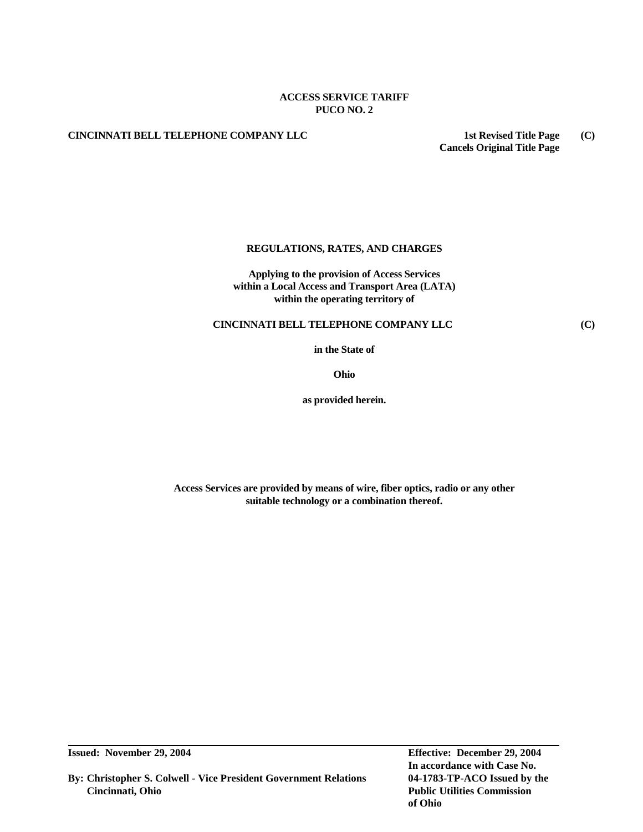# **ACCESS SERVICE TARIFF PUCO NO. 2**

# **CINCINNATI BELL TELEPHONE COMPANY LLC 1st Revised Title Page (C)**

**Cancels Original Title Page**

# **REGULATIONS, RATES, AND CHARGES**

**Applying to the provision of Access Services within a Local Access and Transport Area (LATA) within the operating territory of**

# **CINCINNATI BELL TELEPHONE COMPANY LLC (C)**

**in the State of**

**Ohio**

**as provided herein.**

**Access Services are provided by means of wire, fiber optics, radio or any other suitable technology or a combination thereof.**

**By: Christopher S. Colwell - Vice President Government Relations 04-1783-TP-ACO Issued by the Cincinnati, Ohio Public Utilities Commission**

**Issued: November 29, 2004 Effective: December 29, 2004 In accordance with Case No. of Ohio**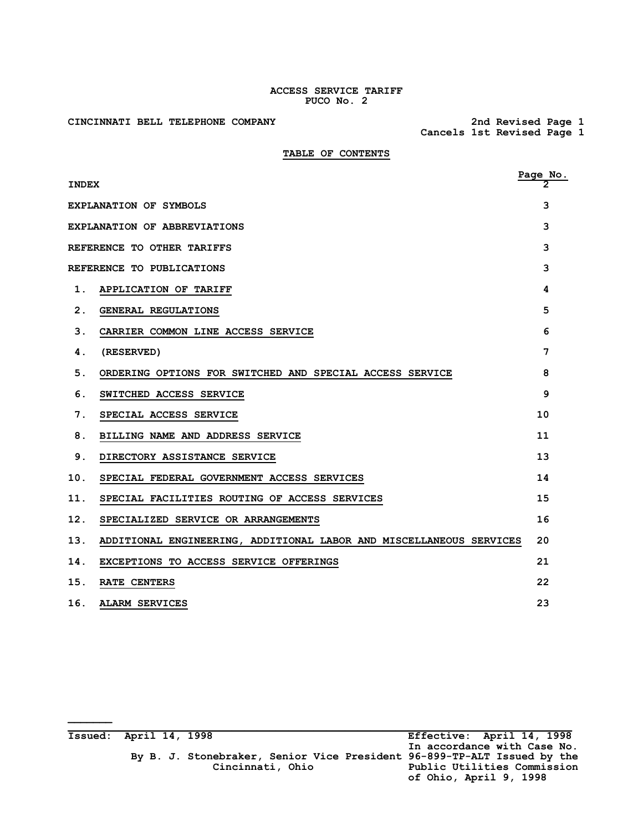## **ACCESS SERVICE TARIFF PUCO No. 2**

CINCINNATI BELL TELEPHONE COMPANY

**\_\_\_\_\_\_\_**

 **Cancels 1st Revised Page 1**

# **TABLE OF CONTENTS**

| <b>INDEX</b>  |                                                                     | $\frac{\text{Page No.}}{2}$ |
|---------------|---------------------------------------------------------------------|-----------------------------|
|               | <b>EXPLANATION OF SYMBOLS</b>                                       | 3                           |
|               | EXPLANATION OF ABBREVIATIONS                                        | 3                           |
|               | REFERENCE TO OTHER TARIFFS                                          | 3                           |
|               | REFERENCE TO PUBLICATIONS                                           | 3                           |
| $\mathbf 1$ . | APPLICATION OF TARIFF                                               | 4                           |
| 2.            | GENERAL REGULATIONS                                                 | 5                           |
| 3.            | CARRIER COMMON LINE ACCESS SERVICE                                  | 6                           |
| 4.            | (RESERVED)                                                          | 7                           |
| 5.            | ORDERING OPTIONS FOR SWITCHED AND SPECIAL ACCESS SERVICE            | 8                           |
| 6.            | SWITCHED ACCESS SERVICE                                             | 9                           |
| 7.            | SPECIAL ACCESS SERVICE                                              | 10                          |
| 8.            | BILLING NAME AND ADDRESS SERVICE                                    | 11                          |
| 9.            | DIRECTORY ASSISTANCE SERVICE                                        | 13                          |
| 10.           | SPECIAL FEDERAL GOVERNMENT ACCESS SERVICES                          | 14                          |
| 11.           | SPECIAL FACILITIES ROUTING OF ACCESS SERVICES                       | 15                          |
| 12.           | SPECIALIZED SERVICE OR ARRANGEMENTS                                 | 16                          |
| 13.           | ADDITIONAL ENGINEERING, ADDITIONAL LABOR AND MISCELLANEOUS SERVICES | 20                          |
| 14.           | EXCEPTIONS TO ACCESS SERVICE OFFERINGS                              | 21                          |
| 15.           | RATE CENTERS                                                        | 22                          |
| 16.           | <b>ALARM SERVICES</b>                                               | 23                          |

| Issued: April 14, 1998 |                                                                                             | Effective: April 14, 1998                                                            |
|------------------------|---------------------------------------------------------------------------------------------|--------------------------------------------------------------------------------------|
|                        | By B. J. Stonebraker, Senior Vice President 96-899-TP-ALT Issued by the<br>Cincinnati, Ohio | In accordance with Case No.<br>Public Utilities Commission<br>of Ohio, April 9, 1998 |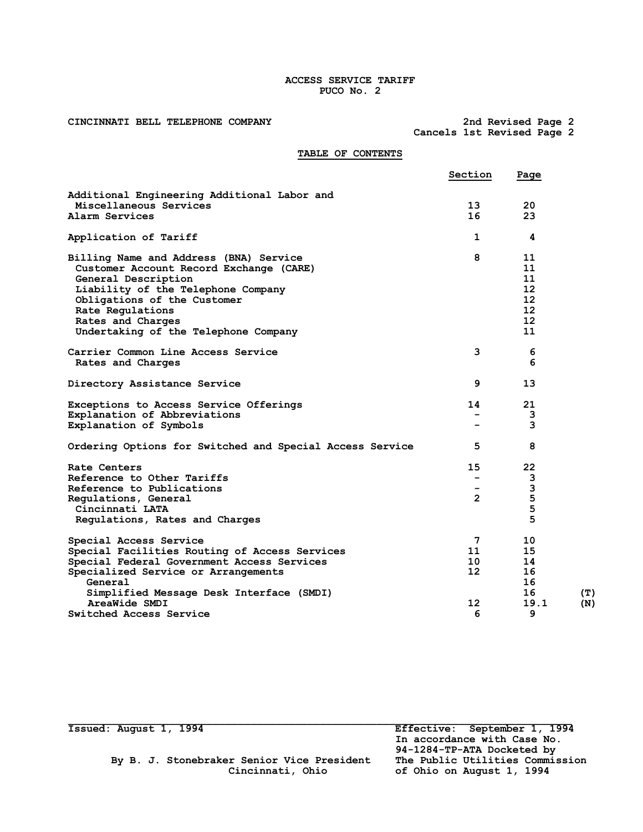## **ACCESS SERVICE TARIFF PUCO No. 2**

CINCINNATI BELL TELEPHONE COMPANY

 **Cancels 1st Revised Page 2**

# **TABLE OF CONTENTS**

|                                                          | Section         | Page              |     |
|----------------------------------------------------------|-----------------|-------------------|-----|
| Additional Engineering Additional Labor and              |                 |                   |     |
| Miscellaneous Services                                   | 13              | 20                |     |
| Alarm Services                                           | 16              | 23                |     |
| Application of Tariff                                    | 1               | 4                 |     |
| Billing Name and Address (BNA) Service                   | 8               | 11                |     |
| Customer Account Record Exchange (CARE)                  |                 | 11                |     |
| General Description                                      |                 | 11                |     |
| Liability of the Telephone Company                       |                 | $12 \overline{ }$ |     |
| Obligations of the Customer                              |                 | 12                |     |
| Rate Regulations                                         |                 | $12 \overline{ }$ |     |
| Rates and Charges                                        |                 | $12 \overline{ }$ |     |
| Undertaking of the Telephone Company                     |                 | 11                |     |
| Carrier Common Line Access Service                       | 3               | 6                 |     |
| Rates and Charges                                        |                 | 6                 |     |
| Directory Assistance Service                             | 9               | 13                |     |
| Exceptions to Access Service Offerings                   | 14              | 21                |     |
| Explanation of Abbreviations                             |                 | 3                 |     |
| Explanation of Symbols                                   |                 | 3                 |     |
| Ordering Options for Switched and Special Access Service | 5               | 8                 |     |
| Rate Centers                                             | 15              | 22                |     |
| Reference to Other Tariffs                               |                 | 3                 |     |
| Reference to Publications                                |                 | 3                 |     |
| Regulations, General                                     | $\overline{2}$  | 5                 |     |
| Cincinnati LATA                                          |                 | 5                 |     |
| Regulations, Rates and Charges                           |                 | 5                 |     |
| Special Access Service                                   | 7               | 10                |     |
| Special Facilities Routing of Access Services            | 11              | 15                |     |
| Special Federal Government Access Services               | 10              | 14                |     |
| Specialized Service or Arrangements                      | 12 <sup>2</sup> | 16                |     |
| General                                                  |                 | 16                |     |
| Simplified Message Desk Interface (SMDI)                 |                 | 16                | (T) |
| AreaWide SMDI                                            | 12              | 19.1              | (N) |
| <b>Switched Access Service</b>                           | 6               | 9                 |     |
|                                                          |                 |                   |     |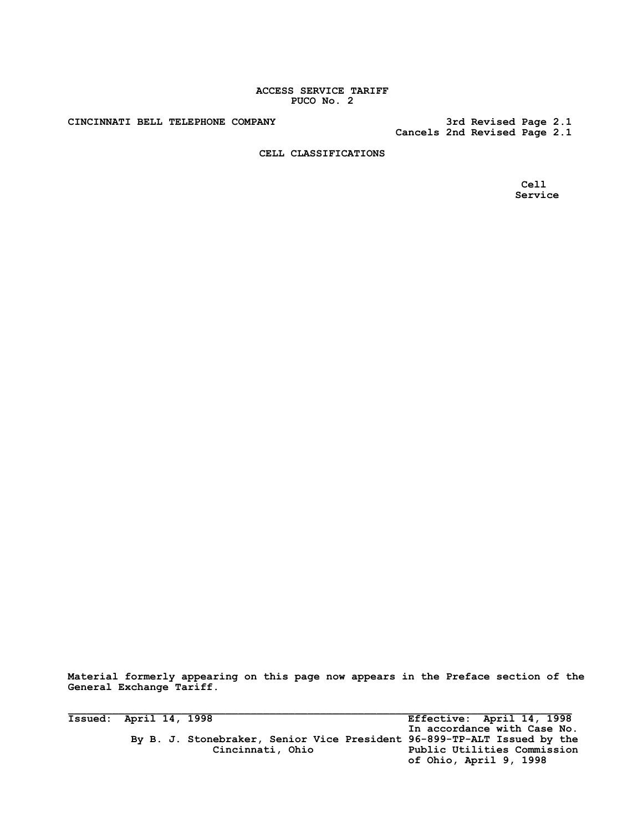## **ACCESS SERVICE TARIFF PUCO No. 2**

CINCINNATI BELL TELEPHONE COMPANY

 **Cancels 2nd Revised Page 2.1**

**CELL CLASSIFICATIONS**

 **Cell Service**

**Material formerly appearing on this page now appears in the Preface section of the General Exchange Tariff.**

**Issued: April 14, 1998 Effective: April 14, 1998 In accordance with Case No. By B. J. Stonebraker, Senior Vice President 96-899-TP-ALT Issued by the Cincinnati, Ohio Public Utilities Commission of Ohio, April 9, 1998**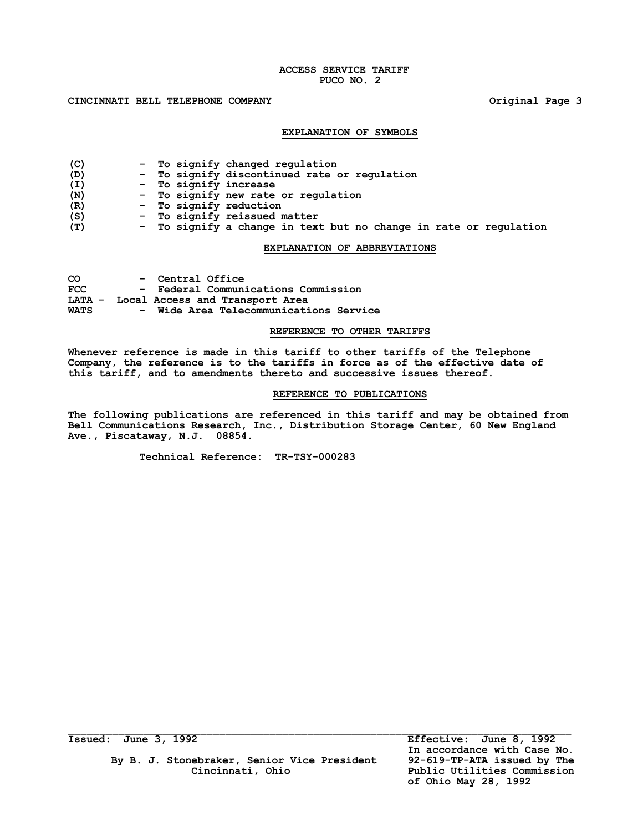## **ACCESS SERVICE TARIFF PUCO NO. 2**

## **CINCINNATI BELL TELEPHONE COMPANY Original Page 3**

#### **EXPLANATION OF SYMBOLS**

| (C) |  | - To signify changed regulation                                   |
|-----|--|-------------------------------------------------------------------|
| (D) |  | - To signify discontinued rate or regulation                      |
| (I) |  | - To signify increase                                             |
| (N) |  | - To signify new rate or regulation                               |
| (R) |  | - To signify reduction                                            |
| (S) |  | - To signify reissued matter                                      |
| (T) |  | - To signify a change in text but no change in rate or regulation |

# **EXPLANATION OF ABBREVIATIONS**

| CO.         | - Central Office                       |
|-------------|----------------------------------------|
| <b>FCC</b>  | - Federal Communications Commission    |
|             | LATA - Local Access and Transport Area |
| <b>WATS</b> | - Wide Area Telecommunications Service |

#### **REFERENCE TO OTHER TARIFFS**

**Whenever reference is made in this tariff to other tariffs of the Telephone Company, the reference is to the tariffs in force as of the effective date of this tariff, and to amendments thereto and successive issues thereof.**

## **REFERENCE TO PUBLICATIONS**

**The following publications are referenced in this tariff and may be obtained from Bell Communications Research, Inc., Distribution Storage Center, 60 New England Ave., Piscataway, N.J. 08854.**

**Technical Reference: TR-TSY-000283**

**Issued: June 3, 1992 Effective: June 8, 1992**

By B. J. Stonebraker, Senior Vice President  **Cincinnati, Ohio Public Utilities Commission**

 **In accordance with Case No. of Ohio May 28, 1992**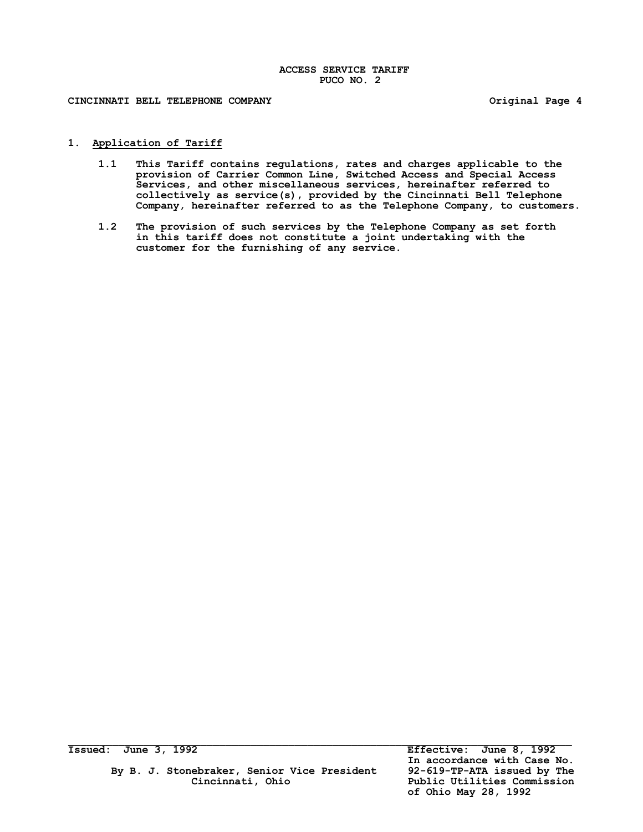**CINCINNATI BELL TELEPHONE COMPANY Original Page 4**

## **1. Application of Tariff**

- **1.1 This Tariff contains regulations, rates and charges applicable to the provision of Carrier Common Line, Switched Access and Special Access Services, and other miscellaneous services, hereinafter referred to collectively as service(s), provided by the Cincinnati Bell Telephone Company, hereinafter referred to as the Telephone Company, to customers.**
- **1.2 The provision of such services by the Telephone Company as set forth in this tariff does not constitute a joint undertaking with the customer for the furnishing of any service.**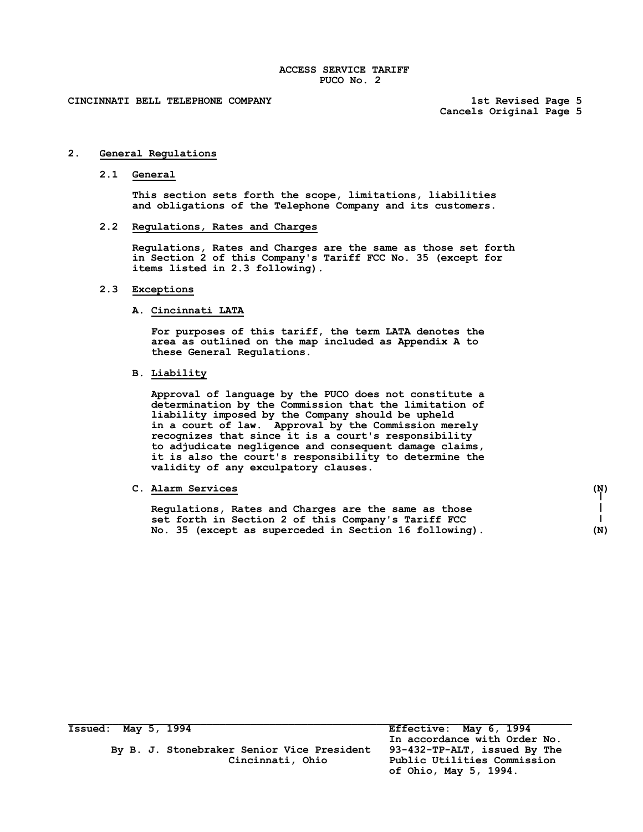**Cancels Original Page 5**

#### **2. General Regulations**

**2.1 General**

**This section sets forth the scope, limitations, liabilities and obligations of the Telephone Company and its customers.**

**2.2 Regulations, Rates and Charges**

**Regulations, Rates and Charges are the same as those set forth in Section 2 of this Company's Tariff FCC No. 35 (except for items listed in 2.3 following).**

## **2.3 Exceptions**

# **A. Cincinnati LATA**

**For purposes of this tariff, the term LATA denotes the area as outlined on the map included as Appendix A to these General Regulations.**

**B. Liability**

**Approval of language by the PUCO does not constitute a determination by the Commission that the limitation of liability imposed by the Company should be upheld in a court of law. Approval by the Commission merely recognizes that since it is a court's responsibility to adjudicate negligence and consequent damage claims, it is also the court's responsibility to determine the validity of any exculpatory clauses.**

# **C. Alarm Services (N)**

**Regulations, Rates and Charges are the same as those set forth in Section 2 of this Company's Tariff FCC No. 35 (except as superceded in Section 16 following). (N)**

**Issued: May 5, 1994 Effective: May 6, 1994**

By B. J. Stonebraker Senior Vice President

 **In accordance with Order No. Cincinnati, Ohio Public Utilities Commission of Ohio, May 5, 1994.**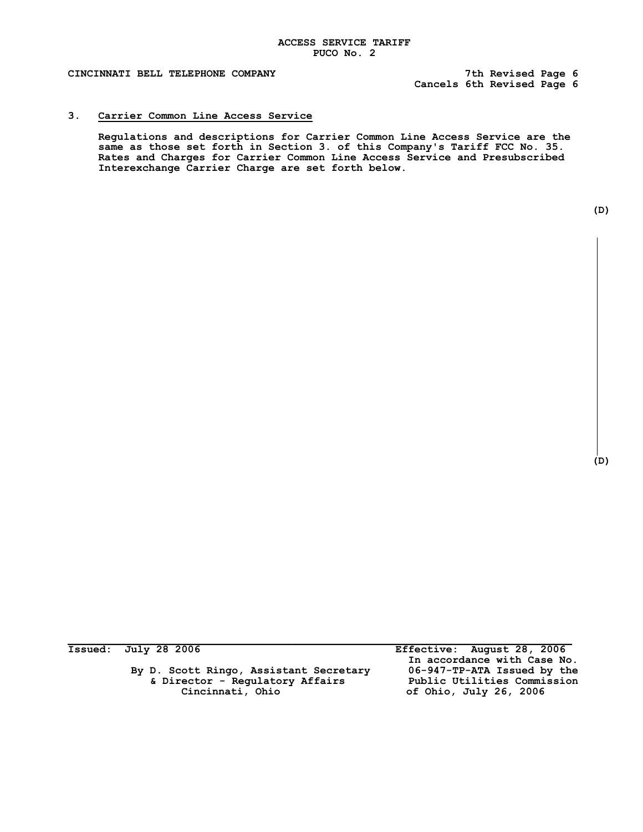**Cancels 6th Revised Page 6**

# **3. Carrier Common Line Access Service**

**Regulations and descriptions for Carrier Common Line Access Service are the same as those set forth in Section 3. of this Company's Tariff FCC No. 35. Rates and Charges for Carrier Common Line Access Service and Presubscribed Interexchange Carrier Charge are set forth below.**

| ۰. |  |
|----|--|

**(D)**

 **By D. Scott Ringo, Assistant Secretary 06-947-TP-ATA Issued by the & Director - Regulatory Affairs<br>Cincinnati, Ohio** 

 $\mathcal{L} = \{ \mathcal{L} \mathcal{L} \mathcal{L} \mathcal{L} \mathcal{L} \mathcal{L} \mathcal{L} \mathcal{L} \mathcal{L} \mathcal{L} \mathcal{L} \mathcal{L} \mathcal{L} \mathcal{L} \mathcal{L} \mathcal{L} \mathcal{L} \mathcal{L} \mathcal{L} \mathcal{L} \mathcal{L} \mathcal{L} \mathcal{L} \mathcal{L} \mathcal{L} \mathcal{L} \mathcal{L} \mathcal{L} \mathcal{L} \mathcal{L} \mathcal{L} \mathcal{L} \mathcal{L} \mathcal{L} \mathcal{L} \$ **Issued: July 28 2006 Effective: August 28, 2006 In accordance with Case No. Cincinnati, Ohio of Ohio, July 26, 2006**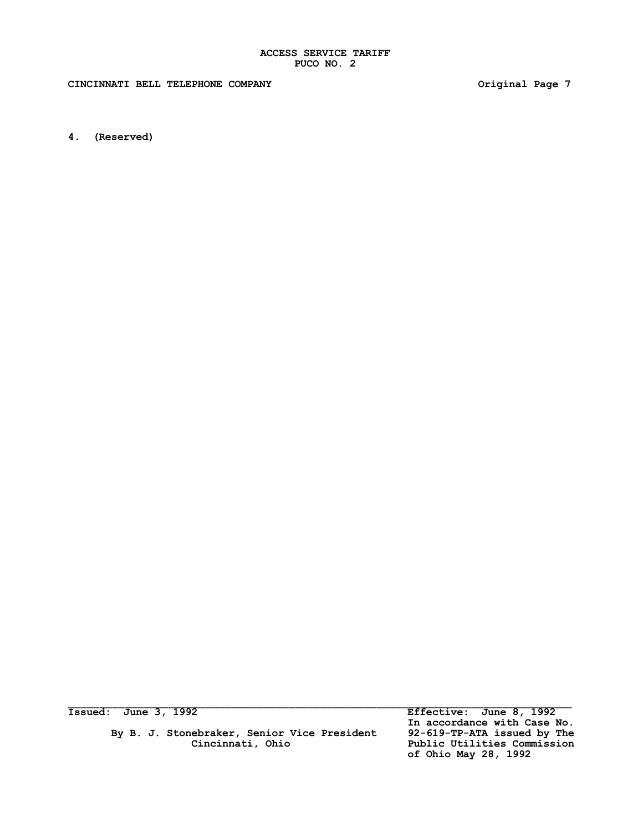CINCINNATI BELL TELEPHONE COMPANY *COMPANY* **Original Page 7** 

**4. (Reserved)**

 **By B. J. Stonebraker, Senior Vice President 92-619-TP-ATA issued by The Cincinnati, Ohio Public Utilities Commission**

**Issued: June 3, 1992 Effective: June 8, 1992 In accordance with Case No.** Public Utilities Commission<br>of Ohio May 28, 1992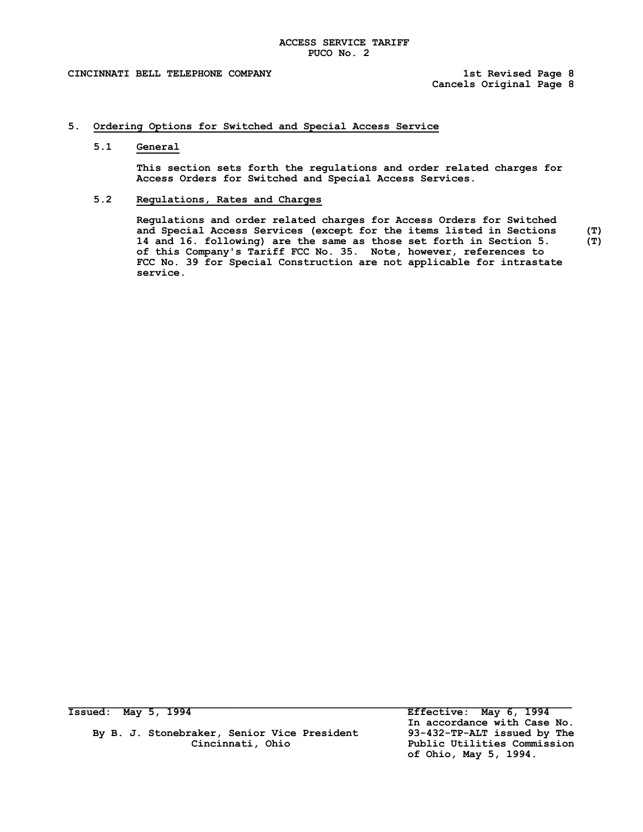**Cancels Original Page 8**

# **5. Ordering Options for Switched and Special Access Service**

#### **5.1 General**

**This section sets forth the regulations and order related charges for Access Orders for Switched and Special Access Services.**

## **5.2 Regulations, Rates and Charges**

**Regulations and order related charges for Access Orders for Switched and Special Access Services (except for the items listed in Sections (T)** 14 and 16. following) are the same as those set forth in Section 5. **of this Company's Tariff FCC No. 35. Note, however, references to FCC No. 39 for Special Construction are not applicable for intrastate service.**

By B. J. Stonebraker, Senior Vice President 93-432-TP-ALT issued by The<br>Cincinnati, Ohio **1986** Public Utilities Commission

**Issued: May 5, 1994 Effective: May 6, 1994 In accordance with Case No.** Public Utilities Commission  **of Ohio, May 5, 1994.**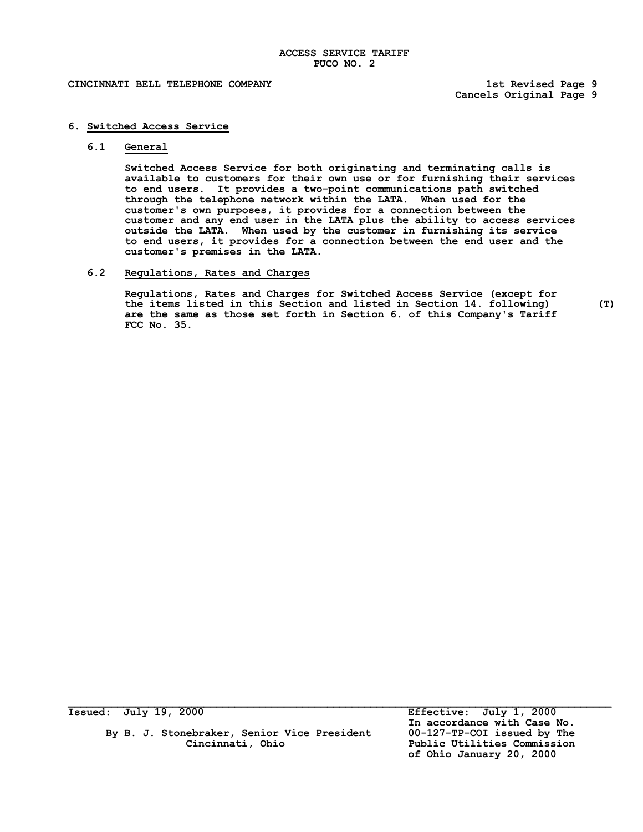**Cancels Original Page 9**

# **6. Switched Access Service**

#### **6.1 General**

**Switched Access Service for both originating and terminating calls is available to customers for their own use or for furnishing their services to end users. It provides a two-point communications path switched through the telephone network within the LATA. When used for the customer's own purposes, it provides for a connection between the customer and any end user in the LATA plus the ability to access services outside the LATA. When used by the customer in furnishing its service to end users, it provides for a connection between the end user and the customer's premises in the LATA.**

# **6.2 Regulations, Rates and Charges**

**Regulations, Rates and Charges for Switched Access Service (except for the items listed in this Section and listed in Section 14. following) (T) are the same as those set forth in Section 6. of this Company's Tariff FCC No. 35.**

By B. J. Stonebraker, Senior Vice President<br>**Cincinnati, Ohio** 

**Issued: July 19, 2000 Effective: July 1, 2000 In accordance with Case No.** Public Utilities Commission **of Ohio January 20, 2000**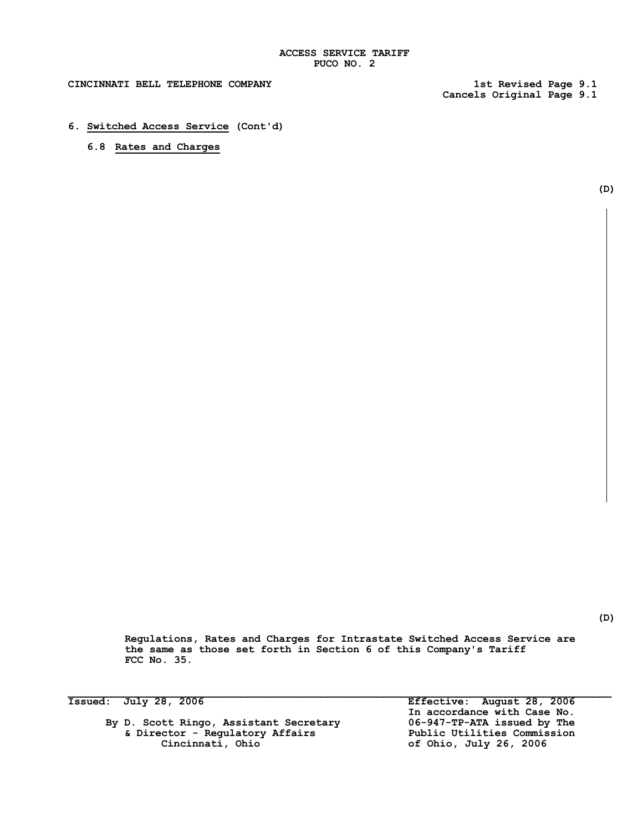**Cancels Original Page 9.1**

**6. Switched Access Service (Cont'd)**

# **6.8 Rates and Charges**

**(D)**

**(D)**

**Regulations, Rates and Charges for Intrastate Switched Access Service are the same as those set forth in Section 6 of this Company's Tariff FCC No. 35.**

By D. Scott Ringo, Assistant Secretary **06-947-TP-ATA issued by The**<br>& Director - Regulatory Affairs Public Utilities Commission **& Director - Regulatory Affairs Cincinnati**, Ohio

 $\mathcal{L}_\mathcal{L} = \mathcal{L}_\mathcal{L}$ **Issued: July 28, 2006 Effective: August 28, 2006 In accordance with Case No. Cincinnati, Ohio of Ohio, July 26, 2006**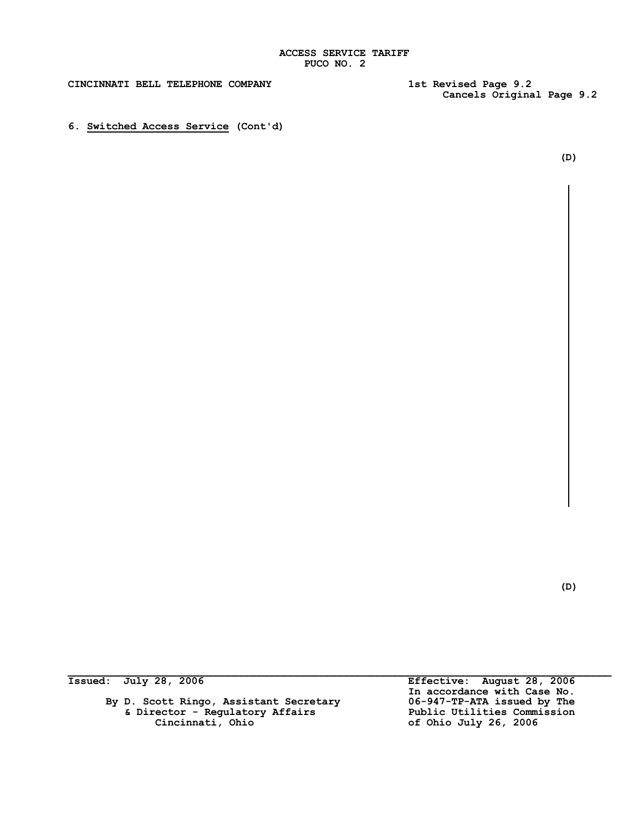**Cancels Original Page 9.2**

**6. Switched Access Service (Cont'd)**

**(D)**

**(D)**

By D. Scott Ringo, Assistant Secretary **06-947-TP-ATA issued by The**<br>& Director - Regulatory Affairs **Dublic Utilities Commission & Director - Regulatory Affairs Public Utilities Commission**

 $\mathcal{L}_\mathcal{L} = \mathcal{L}_\mathcal{L}$ **Issued: July 28, 2006 Effective: August 28, 2006 In accordance with Case No. Cincinnati, Ohio of Ohio July 26, 2006**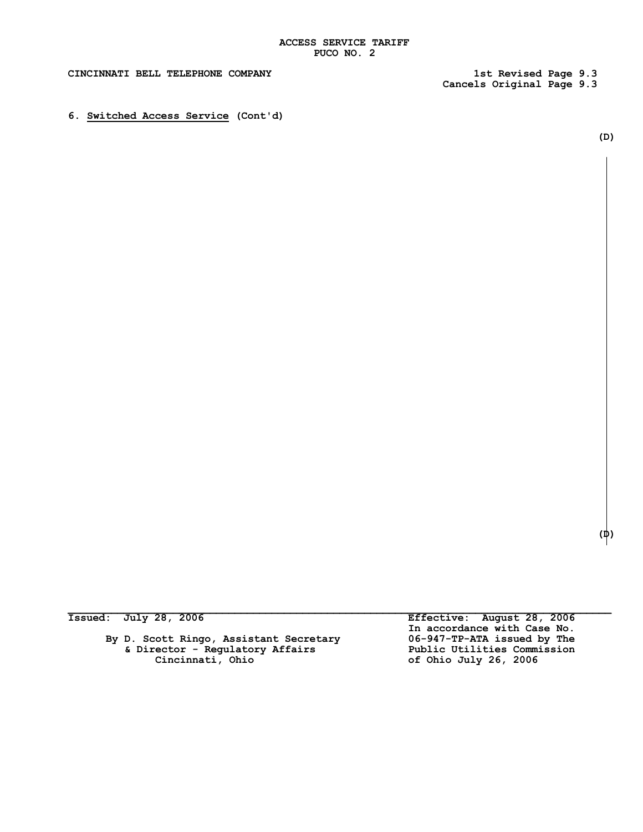$\mathcal{L}_\mathcal{L} = \mathcal{L}_\mathcal{L}$ 

## **CINCINNATI BELL TELEPHONE COMPANY 1st Revised Page 9.3**

**Cancels Original Page 9.3**

**6. Switched Access Service (Cont'd)**

**(D)**

| <b>Issued:</b> |  | July 28, 2006 |  |
|----------------|--|---------------|--|
|                |  |               |  |

By D. Scott Ringo, Assistant Secretary **06-947-TP-ATA issued by The**<br>& Director - Regulatory Affairs **Dublic Utilities Commission & Director - Regulatory Affairs Cincinnati, Ohio of Ohio July 26, 2006**

**Issued: July 28, 2006 Effective: August 28, 2006 In accordance with Case No.**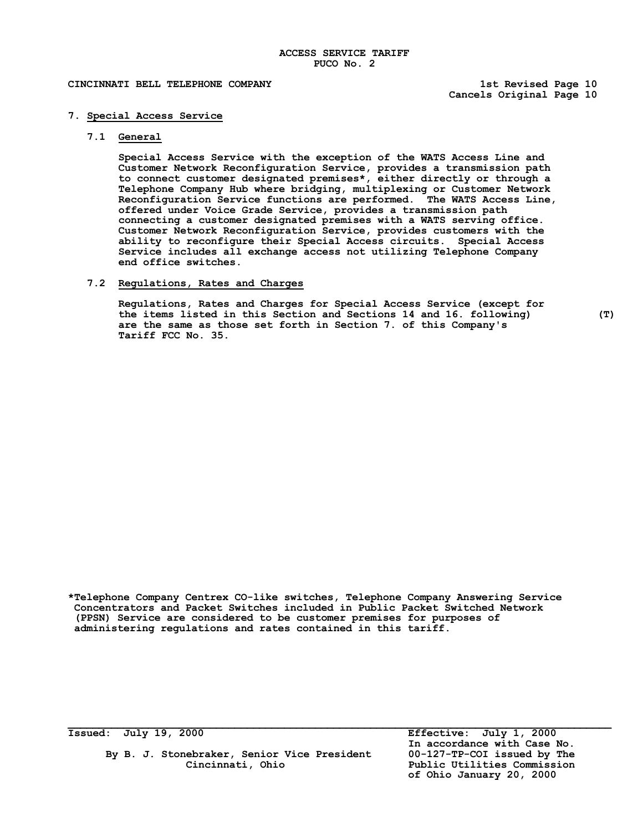**Cancels Original Page 10**

## **7. Special Access Service**

## **7.1 General**

**Special Access Service with the exception of the WATS Access Line and Customer Network Reconfiguration Service, provides a transmission path to connect customer designated premises\*, either directly or through a Telephone Company Hub where bridging, multiplexing or Customer Network Reconfiguration Service functions are performed. The WATS Access Line, offered under Voice Grade Service, provides a transmission path connecting a customer designated premises with a WATS serving office. Customer Network Reconfiguration Service, provides customers with the ability to reconfigure their Special Access circuits. Special Access Service includes all exchange access not utilizing Telephone Company end office switches.**

# **7.2 Regulations, Rates and Charges**

**Regulations, Rates and Charges for Special Access Service (except for the items listed in this Section and Sections 14 and 16. following) (T) are the same as those set forth in Section 7. of this Company's Tariff FCC No. 35.**

**\*Telephone Company Centrex CO-like switches, Telephone Company Answering Service Concentrators and Packet Switches included in Public Packet Switched Network (PPSN) Service are considered to be customer premises for purposes of administering regulations and rates contained in this tariff.**

 $\mathcal{L}_\mathcal{L} = \mathcal{L}_\mathcal{L}$ 

**By B. J. Stonebraker, Senior Vice President 00-127-TP-COI issued by The Cincinnati, Ohio Public Utilities Commission**

**Issued: July 19, 2000 Effective: July 1, 2000 In accordance with Case No. of Ohio January 20, 2000**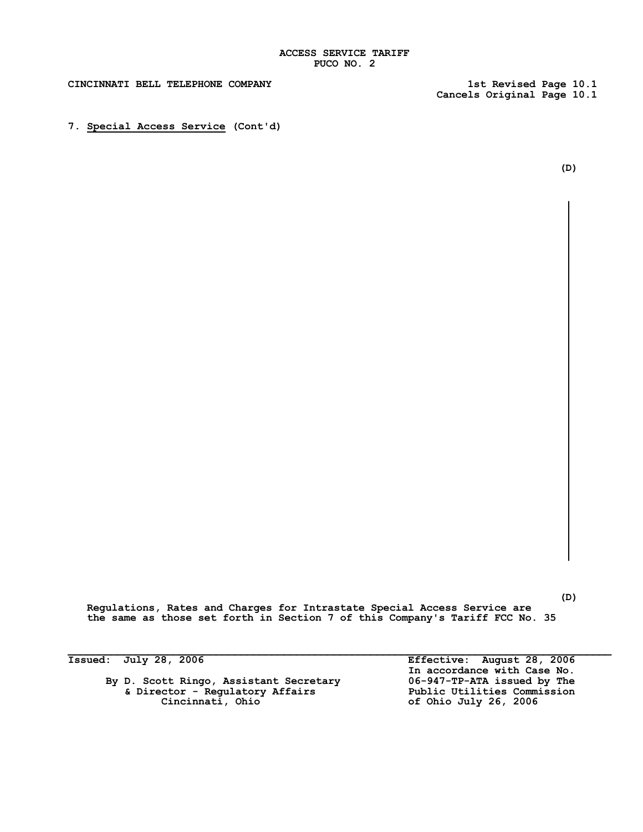**Cancels Original Page 10.1**

**7. Special Access Service (Cont'd)**

**(D)**

**(D)**

**Regulations, Rates and Charges for Intrastate Special Access Service are the same as those set forth in Section 7 of this Company's Tariff FCC No. 35**

 $\mathcal{L}_\mathcal{L} = \mathcal{L}_\mathcal{L}$ 

By D. Scott Ringo, Assistant Secretary **06-947-TP-ATA issued by The**<br>& Director - Regulatory Affairs **Public Utilities Commission & Director - Regulatory Affairs**<br>Cincinnati, Ohio

**Issued: July 28, 2006 Effective: August 28, 2006 In accordance with Case No. Cincinnati, Ohio of Ohio July 26, 2006**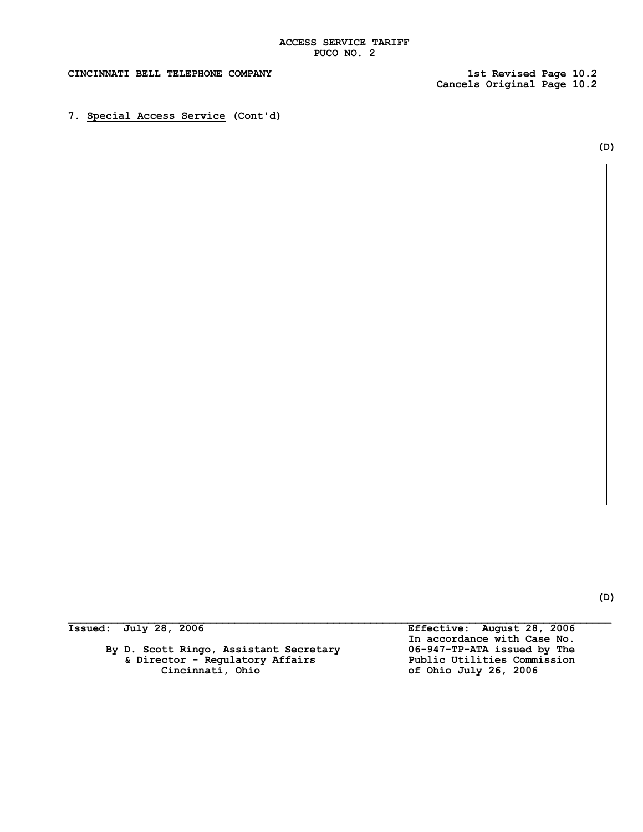**Cancels Original Page 10.2**

**7. Special Access Service (Cont'd)**

By D. Scott Ringo, Assistant Secretary **06-947-TP-ATA issued by The**<br>& Director - Regulatory Affairs Public Utilities Commission<br>Cincinnati, Ohio Atfairs of Ohio July 26, 2006  **& Director - Regulatory Affairs Public Utilities Commission Cincinnati, Ohio of Ohio July 26, 2006**

 $\mathcal{L}_\mathcal{L} = \mathcal{L}_\mathcal{L}$ **Issued: July 28, 2006 Effective: August 28, 2006 In accordance with Case No.**

**(D)**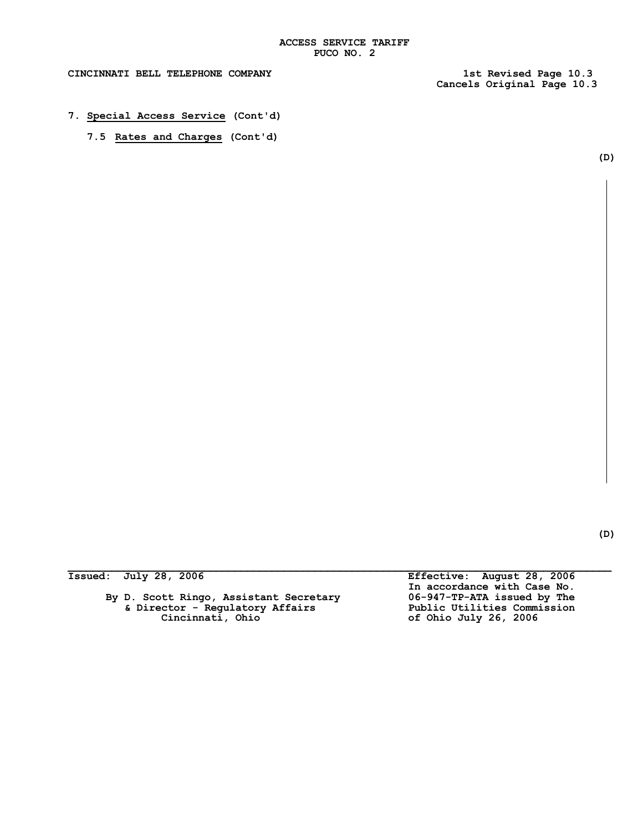$\mathcal{L}_\mathcal{L} = \mathcal{L}_\mathcal{L}$ 

**Cancels Original Page 10.3**

- **7. Special Access Service (Cont'd)**
	- **7.5 Rates and Charges (Cont'd)**

By D. Scott Ringo, Assistant Secretary **06-947-TP-ATA issued by The**<br>& Director - Regulatory Affairs Public Utilities Commission **& Director - Regulatory Affairs**<br>Cincinnati, Ohio

**Issued: July 28, 2006 Effective: August 28, 2006 In accordance with Case No. Cincinnati, Ohio of Ohio July 26, 2006**

**(D)**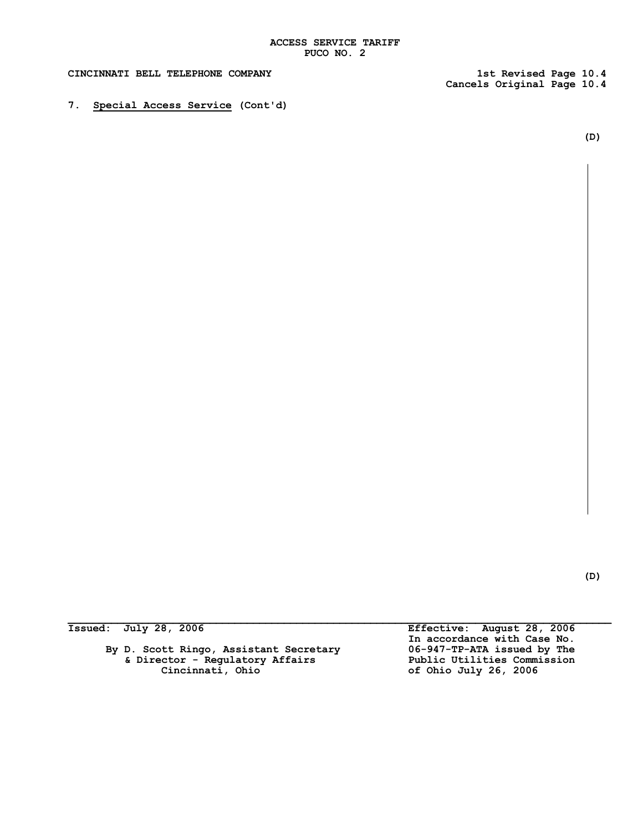$\mathcal{L}_\mathcal{L} = \mathcal{L}_\mathcal{L}$ 

## **CINCINNATI BELL TELEPHONE COMPANY 1st Revised Page 10.4**

**Cancels Original Page 10.4**

**7. Special Access Service (Cont'd)**

**(D)**

By D. Scott Ringo, Assistant Secretary 06-947-TP-ATA issued by The<br>
6 Director - Regulatory Affairs Public Utilities Commission<br>
Cincinnati, Ohio Atfairs of Ohio July 26, 2006  **& Director - Regulatory Affairs Public Utilities Commission Cincinnati, Ohio of Ohio July 26, 2006**

**Issued: July 28, 2006 Effective: August 28, 2006 In accordance with Case No.**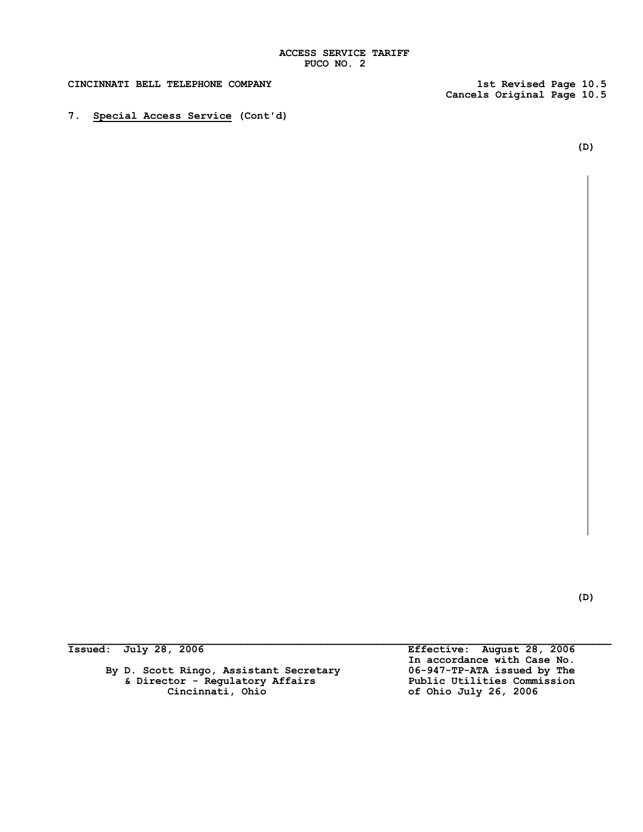**7. Special Access Service (Cont'd)**

**Cancels Original Page 10.5**

**(D)**

**By D. Scott Ringo, Assistant Secretary 06-947-TP-ATA issued by The & Director - Regulatory Affairs Public Utilities Commission Cincinnati, Ohio of Ohio July 26, 2006**

 $\mathcal{L}_\mathcal{L} = \mathcal{L}_\mathcal{L}$ **Issued: July 28, 2006 Effective: August 28, 2006** In accordance with Case No.<br>06-947-TP-ATA issued by The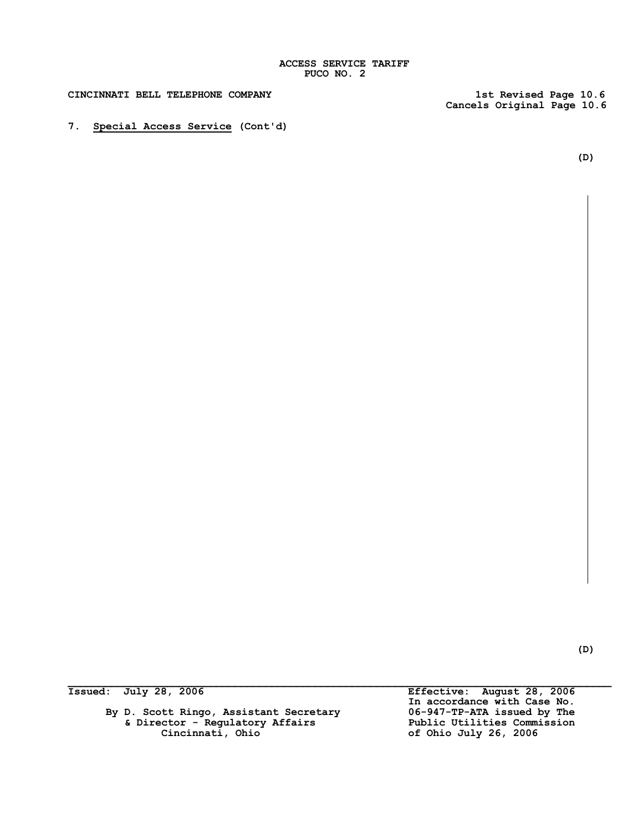# **ACCESS SERVICE TARIFF PUCO NO. 2**

**CINCINNATI BELL TELEPHONE COMPANY 1st Revised Page 10.6**

**Cancels Original Page 10.6**

**(D)**

# **7. Special Access Service (Cont'd)**

**(D)**

By D. Scott Ringo, Assistant Secretary **06-947-TP-ATA issued by The**<br>& Director - Regulatory Affairs **Dublic Utilities Commission & Director - Regulatory Affairs Cincinnati**, Ohio

 $\mathcal{L}_\mathcal{L} = \mathcal{L}_\mathcal{L}$ **Issued: July 28, 2006 Effective: August 28, 2006 In accordance with Case No. Cincinnati, Ohio of Ohio July 26, 2006**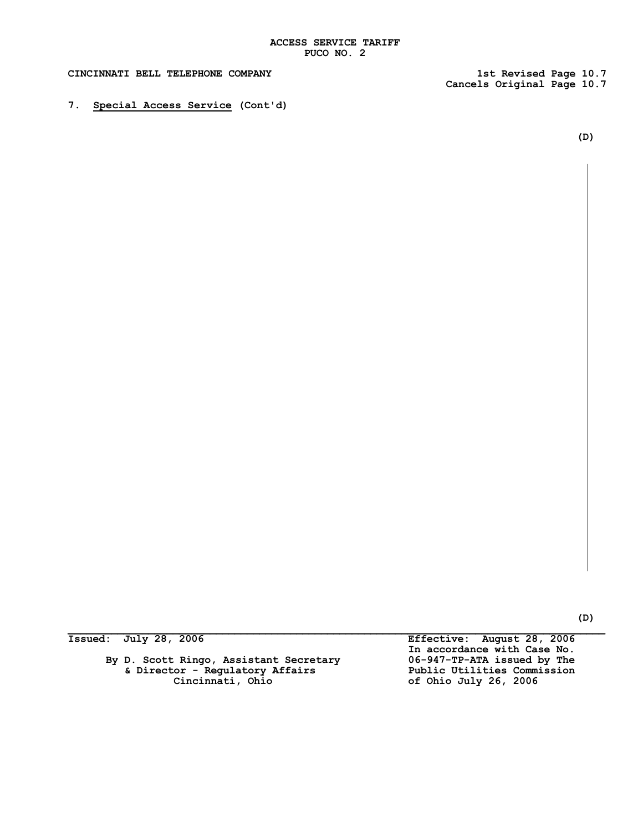**Cancels Original Page 10.7**

**7. Special Access Service (Cont'd)**

**(D)**

**By D. Scott Ringo, Assistant Secretary 06-947-TP-ATA issued by The & Director - Regulatory Affairs Public Utilities Commission Cincinnati, Ohio of Ohio July 26, 2006**

**Issued: July 28, 2006 Effective: August 28, 2006 In accordance with Case No.**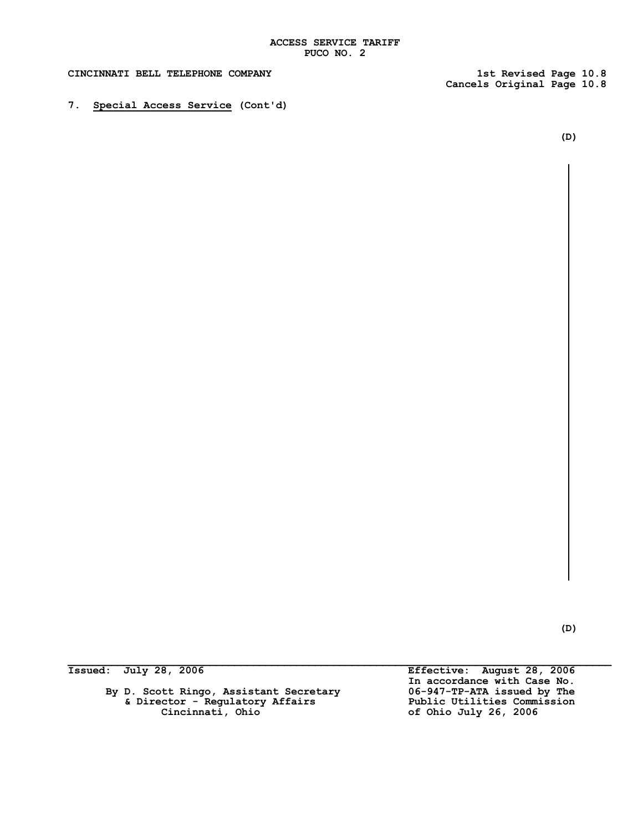**Cancels Original Page 10.8**

**7. Special Access Service (Cont'd)**

**(D)**

**(D)**

By D. Scott Ringo, Assistant Secretary **06-947-TP-ATA issued by The**<br>& Director - Regulatory Affairs Public Utilities Commission  **& Director - Regulatory Affairs Public Utilities Commission**

**Issued: July 28, 2006 Effective: August 28, 2006 In accordance with Case No. Cincinnati, Ohio of Ohio July 26, 2006**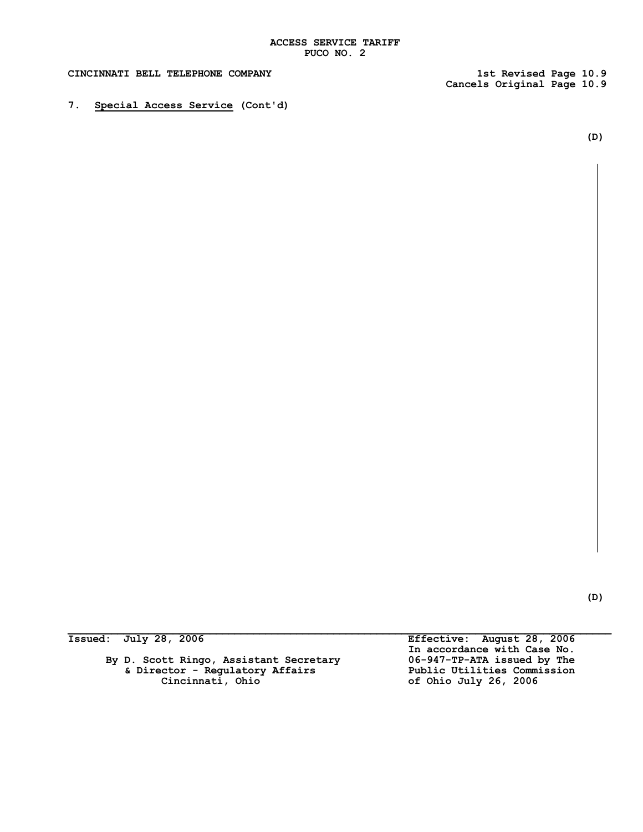**Cancels Original Page 10.9**

**7. Special Access Service (Cont'd)**

**(D)**

**(D)**

By D. Scott Ringo, Assistant Secretary **06-947-TP-ATA issued by The**<br>& Director - Regulatory Affairs Public Utilities Commission **& Director - Regulatory Affairs**<br>Cincinnati, Ohio

**Issued: July 28, 2006 Effective: August 28, 2006 In accordance with Case No. Cincinnati, Ohio of Ohio July 26, 2006**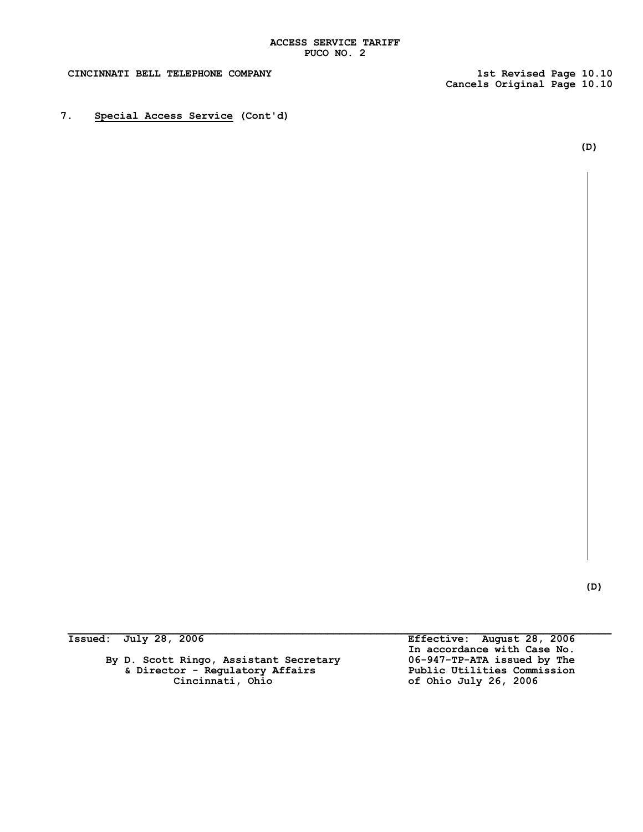**Cancels Original Page 10.10**

**7. Special Access Service (Cont'd)**

 **(D)**

 **(D)**

| Issued: July 28, 2006 |  |
|-----------------------|--|
|-----------------------|--|

**By D. Scott Ringo, Assistant Secretary 06-947-TP-ATA issued by The & Director - Regulatory Affairs Public Utilities Commission Cincinnati, Ohio of Ohio July 26, 2006**

**Issued: July 28, 2006 Effective: August 28, 2006 In accordance with Case No.**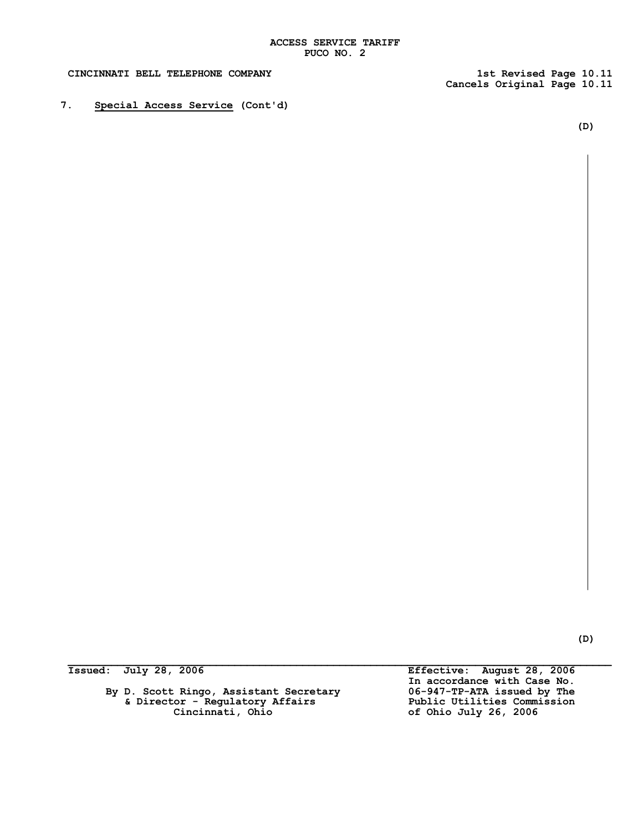**Cancels Original Page 10.11**

**7. Special Access Service (Cont'd)**

**(D)**

By D. Scott Ringo, Assistant Secretary **06-947-TP-ATA issued by The**<br>& Director - Regulatory Affairs Public Utilities Commission  **& Director - Regulatory Affairs Public Utilities Commission**

**Issued: July 28, 2006 Effective: August 28, 2006 In accordance with Case No. Cincinnati, Ohio of Ohio July 26, 2006**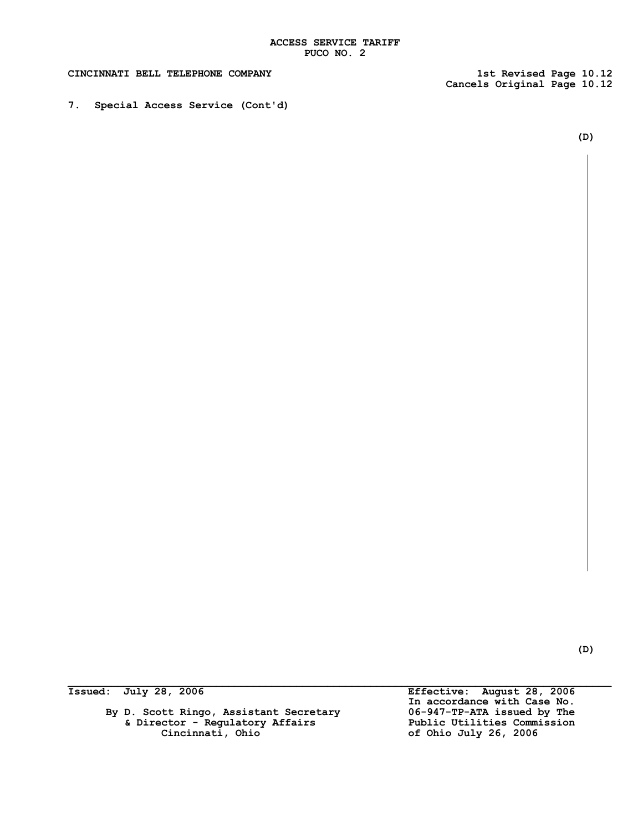**Cancels Original Page 10.12**

**7. Special Access Service (Cont'd)**

**(D)**

**(D)**

By D. Scott Ringo, Assistant Secretary **06-947-TP-ATA issued by The**<br>& Director - Regulatory Affairs **Dublic Utilities Commission & Director - Regulatory Affairs Cincinnati**, Ohio

 $\mathcal{L}_\mathcal{L} = \mathcal{L}_\mathcal{L}$ **Issued: July 28, 2006 Effective: August 28, 2006 In accordance with Case No. Cincinnati, Ohio of Ohio July 26, 2006**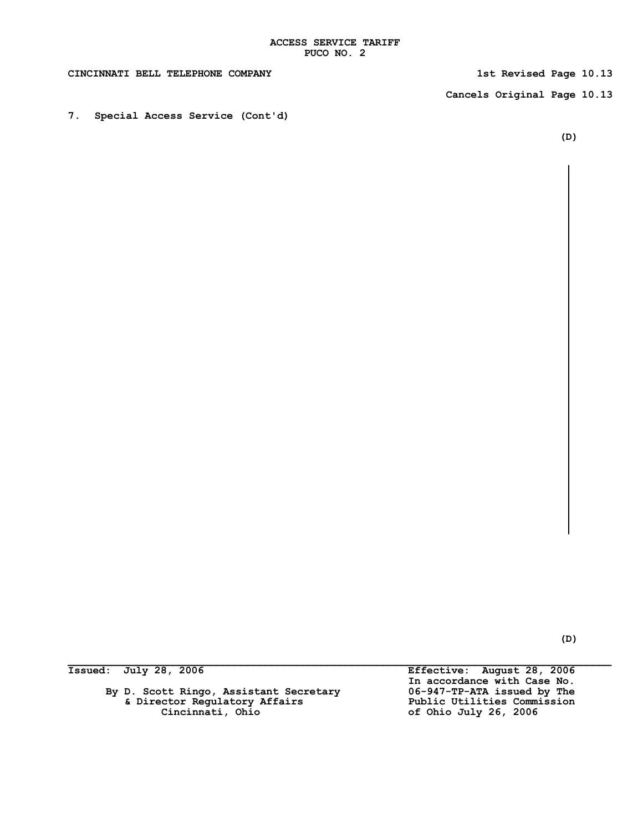**Cancels Original Page 10.13**

**7. Special Access Service (Cont'd)**

**(D)**

**By D. Scott Ringo, Assistant Secretary 06-947-TP-ATA issued by The** & Director Regulatory Affairs<br>Cincinnati, Ohio

**Issued: July 28, 2006 Effective: August 28, 2006 In accordance with Case No. Cincinnati, Ohio of Ohio July 26, 2006**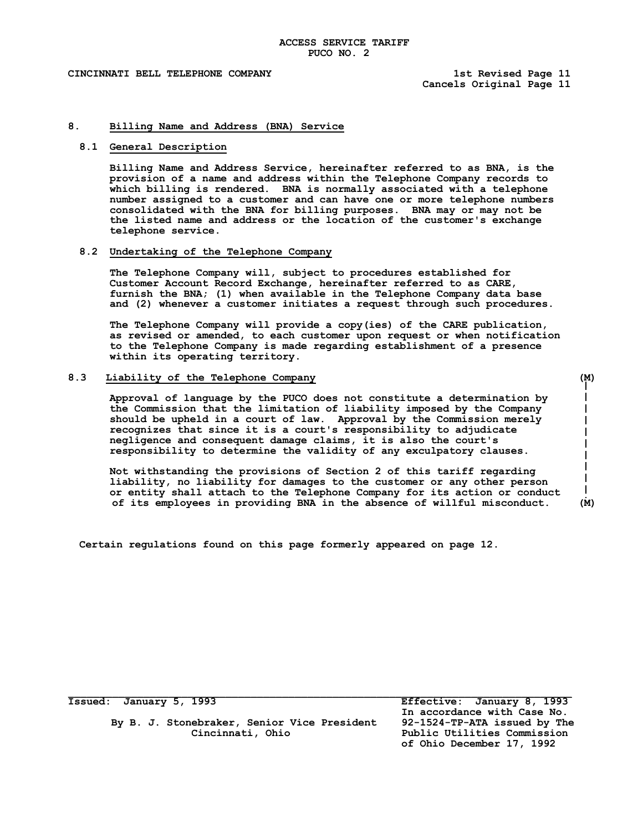L  $\mathsf{I}$ 

 $\mathbf{I}$ 

**I** J.

## **8. Billing Name and Address (BNA) Service**

#### **8.1 General Description**

**Billing Name and Address Service, hereinafter referred to as BNA, is the provision of a name and address within the Telephone Company records to which billing is rendered. BNA is normally associated with a telephone number assigned to a customer and can have one or more telephone numbers consolidated with the BNA for billing purposes. BNA may or may not be the listed name and address or the location of the customer's exchange telephone service.**

#### **8.2 Undertaking of the Telephone Company**

**The Telephone Company will, subject to procedures established for Customer Account Record Exchange, hereinafter referred to as CARE, furnish the BNA; (1) when available in the Telephone Company data base and (2) whenever a customer initiates a request through such procedures.**

**The Telephone Company will provide a copy(ies) of the CARE publication, as revised or amended, to each customer upon request or when notification to the Telephone Company is made regarding establishment of a presence within its operating territory.**

#### **8.3 Liability of the Telephone Company (M)**

**Approval of language by the PUCO does not constitute a determination by the Commission that the limitation of liability imposed by the Company should be upheld in a court of law. Approval by the Commission merely recognizes that since it is a court's responsibility to adjudicate negligence and consequent damage claims, it is also the court's responsibility to determine the validity of any exculpatory clauses.**

**Not withstanding the provisions of Section 2 of this tariff regarding liability, no liability for damages to the customer or any other person or entity shall attach to the Telephone Company for its action or conduct of its employees in providing BNA in the absence of willful misconduct. (M)**

**Certain regulations found on this page formerly appeared on page 12.**

 **By B. J. Stonebraker, Senior Vice President 92-1524-TP-ATA issued by The Cincinnati, Ohio Public Utilities Commission**

**Issued: January 5, 1993 Effective: January 8, 1993 In accordance with Case No. of Ohio December 17, 1992**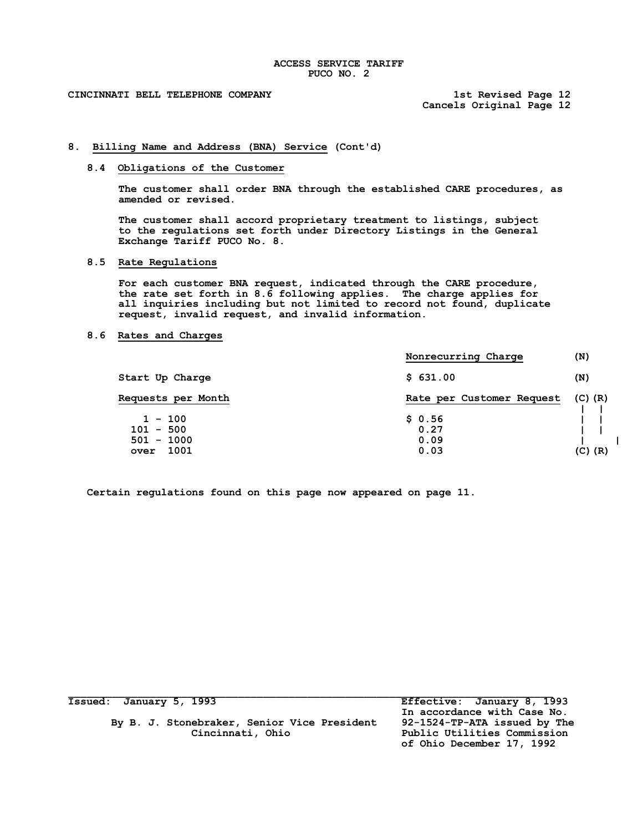**Cancels Original Page 12**

# **8. Billing Name and Address (BNA) Service (Cont'd)**

# **8.4 Obligations of the Customer**

**The customer shall order BNA through the established CARE procedures, as amended or revised.**

**The customer shall accord proprietary treatment to listings, subject to the regulations set forth under Directory Listings in the General Exchange Tariff PUCO No. 8.**

## **8.5 Rate Regulations**

**For each customer BNA request, indicated through the CARE procedure, the rate set forth in 8.6 following applies. The charge applies for all inquiries including but not limited to record not found, duplicate request, invalid request, and invalid information.**

# **8.6 Rates and Charges**

|                                          | Nonrecurring Charge       | (N)         |
|------------------------------------------|---------------------------|-------------|
| Start Up Charge                          | \$631.00                  | (N)         |
| <b>Requests per Month</b>                | Rate per Customer Request | $(C)$ $(R)$ |
| $1 - 100$<br>$101 - 500$<br>$501 - 1000$ | \$0.56<br>0.27<br>0.09    |             |
| 1001<br>over                             | 0.03                      | $(C)$ $(R)$ |

**Certain regulations found on this page now appeared on page 11.**

| Issued: January 5, 1993                     | Effective: January 8, 1993   |
|---------------------------------------------|------------------------------|
|                                             | In accordance with Case No.  |
| By B. J. Stonebraker, Senior Vice President | 92-1524-TP-ATA issued by The |
| Cincinnati, Ohio                            | Public Utilities Commission  |
|                                             | of Ohio December 17, 1992    |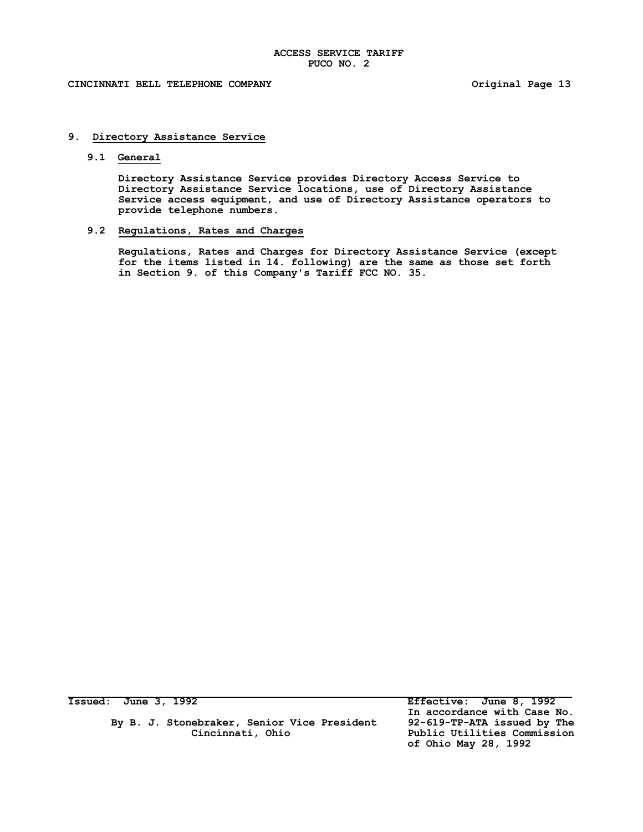# **CINCINNATI BELL TELEPHONE COMPANY Original Page 13**

# **9. Directory Assistance Service**

# **9.1 General**

**Directory Assistance Service provides Directory Access Service to Directory Assistance Service locations, use of Directory Assistance Service access equipment, and use of Directory Assistance operators to provide telephone numbers.**

# **9.2 Regulations, Rates and Charges**

**Regulations, Rates and Charges for Directory Assistance Service (except for the items listed in 14. following) are the same as those set forth in Section 9. of this Company's Tariff FCC NO. 35.**

| Issued: June 3, 1992                        | Effective: June 8, 1992     |
|---------------------------------------------|-----------------------------|
|                                             | In accordance with Case No. |
| By B. J. Stonebraker, Senior Vice President | 92-619-TP-ATA issued by The |
| Cincinnati, Ohio                            | Public Utilities Commission |
|                                             | of Ohio May 28, 1992        |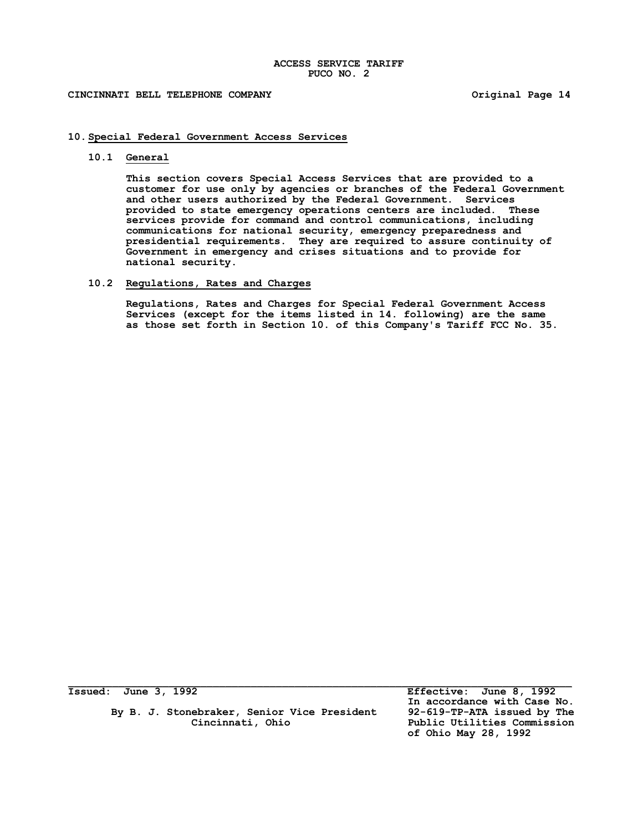## **CINCINNATI BELL TELEPHONE COMPANY Original Page 14**

## **10.Special Federal Government Access Services**

## **10.1 General**

**This section covers Special Access Services that are provided to a customer for use only by agencies or branches of the Federal Government and other users authorized by the Federal Government. Services provided to state emergency operations centers are included. These services provide for command and control communications, including communications for national security, emergency preparedness and presidential requirements. They are required to assure continuity of Government in emergency and crises situations and to provide for national security.**

# **10.2 Regulations, Rates and Charges**

**Regulations, Rates and Charges for Special Federal Government Access Services (except for the items listed in 14. following) are the same as those set forth in Section 10. of this Company's Tariff FCC No. 35.**

 **By B. J. Stonebraker, Senior Vice President 92-619-TP-ATA issued by The Cincinnati, Ohio Public Utilities Commission**

**Issued: June 3, 1992 Effective: June 8, 1992 In accordance with Case No. of Ohio May 28, 1992**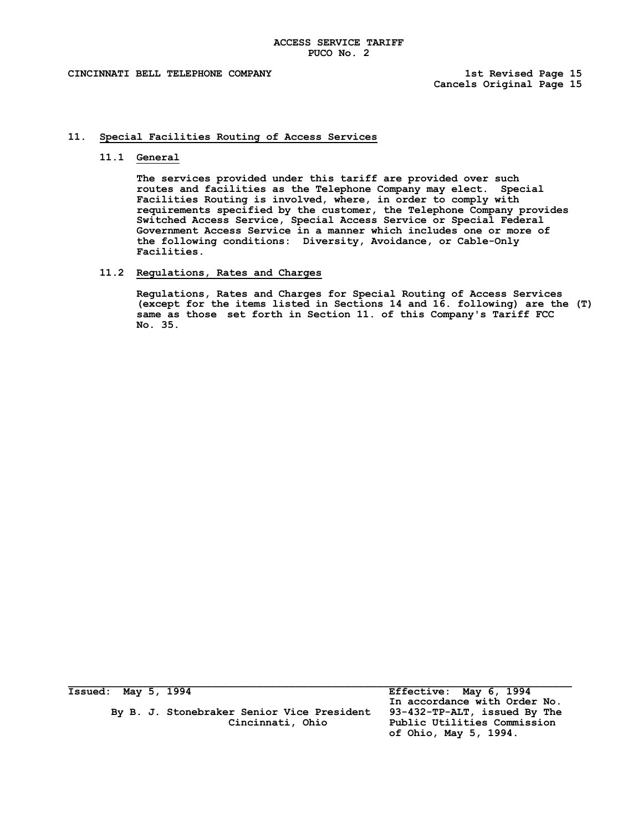## **11. Special Facilities Routing of Access Services**

## **11.1 General**

**The services provided under this tariff are provided over such routes and facilities as the Telephone Company may elect. Special Facilities Routing is involved, where, in order to comply with requirements specified by the customer, the Telephone Company provides Switched Access Service, Special Access Service or Special Federal Government Access Service in a manner which includes one or more of the following conditions: Diversity, Avoidance, or Cable-Only Facilities.**

# **11.2 Regulations, Rates and Charges**

**Regulations, Rates and Charges for Special Routing of Access Services (except for the items listed in Sections 14 and 16. following) are the (T) same as those set forth in Section 11. of this Company's Tariff FCC No. 35.**

 **By B. J. Stonebraker Senior Vice President 93-432-TP-ALT, issued By The**

**Issued: May 5, 1994 Effective: May 6, 1994 In accordance with Order No. Cincinnati, Ohio Public Utilities Commission of Ohio, May 5, 1994.**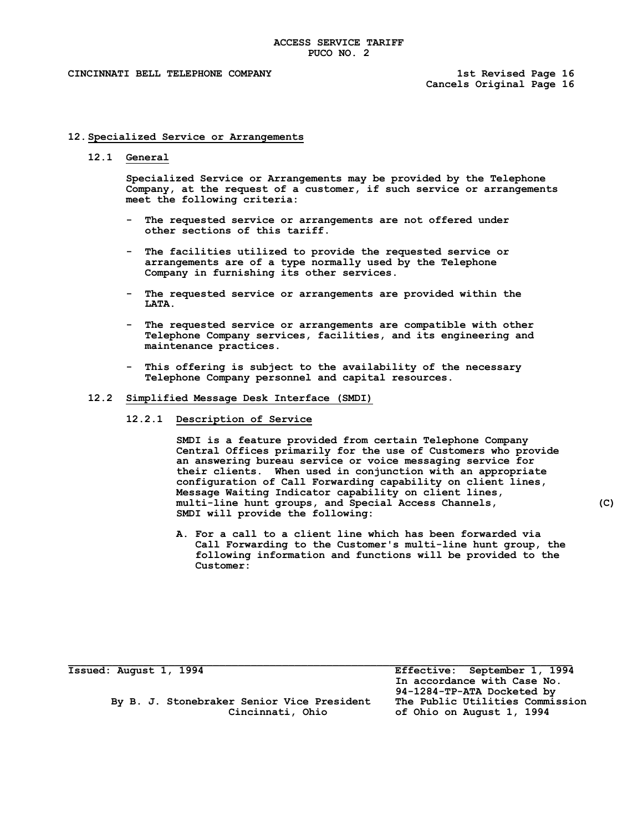**Cancels Original Page 16**

## **12.Specialized Service or Arrangements**

**12.1 General**

**Specialized Service or Arrangements may be provided by the Telephone Company, at the request of a customer, if such service or arrangements meet the following criteria:**

- **- The requested service or arrangements are not offered under other sections of this tariff.**
- **- The facilities utilized to provide the requested service or arrangements are of a type normally used by the Telephone Company in furnishing its other services.**
- **- The requested service or arrangements are provided within the LATA.**
- **- The requested service or arrangements are compatible with other Telephone Company services, facilities, and its engineering and maintenance practices.**
- **- This offering is subject to the availability of the necessary Telephone Company personnel and capital resources.**

#### **12.2 Simplified Message Desk Interface (SMDI)**

**12.2.1 Description of Service**

**SMDI is a feature provided from certain Telephone Company Central Offices primarily for the use of Customers who provide an answering bureau service or voice messaging service for their clients. When used in conjunction with an appropriate configuration of Call Forwarding capability on client lines, Message Waiting Indicator capability on client lines, multi-line hunt groups, and Special Access Channels, (C) SMDI will provide the following:**

**A. For a call to a client line which has been forwarded via Call Forwarding to the Customer's multi-line hunt group, the following information and functions will be provided to the Customer:**

 **By B. J. Stonebraker Senior Vice President The Public Utilities Commission**

**Issued: August 1, 1994 Effective: September 1, 1994 In accordance with Case No. 94-1284-TP-ATA Docketed by Cincinnati, Ohio of Ohio on August 1, 1994**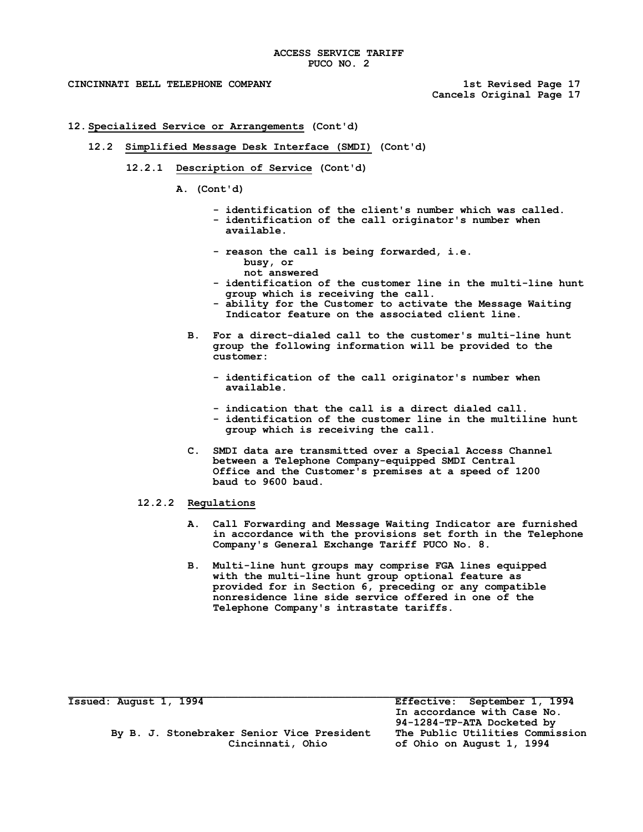- **12.Specialized Service or Arrangements (Cont'd)**
	- **12.2 Simplified Message Desk Interface (SMDI) (Cont'd)**
		- **12.2.1 Description of Service (Cont'd)**
			- **A. (Cont'd)**
				- **- identification of the client's number which was called. - identification of the call originator's number when**   $axailable.$
				- **- reason the call is being forwarded, i.e. busy, or not answered**
				- **- identification of the customer line in the multi-line hunt group which is receiving the call.**
				- **- ability for the Customer to activate the Message Waiting Indicator feature on the associated client line.**
				- **B. For a direct-dialed call to the customer's multi-line hunt group the following information will be provided to the customer:**
					- **- identification of the call originator's number when**   $a$ vailable.
					- **- indication that the call is a direct dialed call.**
					- **- identification of the customer line in the multiline hunt group which is receiving the call.**
				- C. SMDI data are transmitted over a Special Access Channel **between a Telephone Company-equipped SMDI Central │ Office and the Customer's premises at a speed of 1200 │**  $b$ aud to 9600 baud.
			- **12.2.2 Regulations**
				- **A. Call Forwarding and Message Waiting Indicator are furnished in accordance with the provisions set forth in the Telephone Company's General Exchange Tariff PUCO No. 8.**
				- **B. Multi-line hunt groups may comprise FGA lines equipped with the multi-line hunt group optional feature as**  provided for in Section 6, preceding or any compatible **nonresidence line side service offered in one of the Telephone Company's intrastate tariffs.**

 **By B. J. Stonebraker Senior Vice President The Public Utilities Commission**

**Issued: August 1, 1994 Effective: September 1, 1994 In accordance with Case No. 94-1284-TP-ATA Docketed by Cincinnati, Ohio of Ohio on August 1, 1994**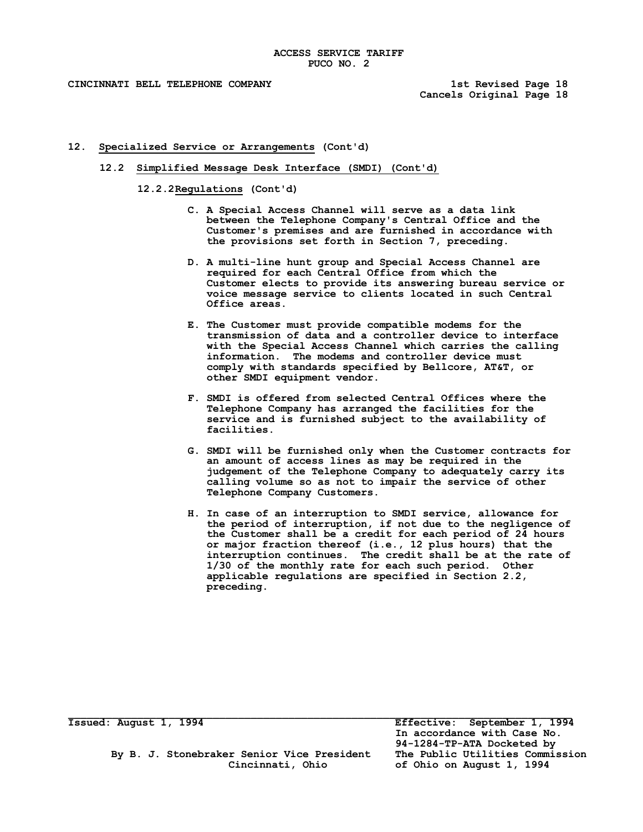- **12. Specialized Service or Arrangements (Cont'd)** 
	- **12.2 Simplified Message Desk Interface (SMDI) (Cont'd)**

**12.2.2Regulations (Cont'd)**

- **C. A Special Access Channel will serve as a data link (C) between the Telephone Company's Central Office and the Customer's premises and are furnished in accordance with** the provisions set forth in Section 7, preceding.
- **D.** A multi-line hunt group and Special Access Channel are **required for each Central Office from which the Customer elects to provide its answering bureau service or voice message service to clients located in such Central Office areas.**
- **E. The Customer must provide compatible modems for the transmission of data and a controller device to interface**  with the Special Access Channel which carries the calling **information. The modems and controller device must**  comply with standards specified by Bellcore, AT&T, or other SMDI equipment vendor.
- **F. SMDI is offered from selected Central Offices where the Telephone Company has arranged the facilities for the service and is furnished subject to the availability of facilities.**
- **G. SMDI will be furnished only when the Customer contracts for an amount of access lines as may be required in the judgement of the Telephone Company to adequately carry its calling volume so as not to impair the service of other Telephone Company Customers.**
- **H. In case of an interruption to SMDI service, allowance for the period of interruption, if not due to the negligence of the Customer shall be a credit for each period of 24 hours or major fraction thereof (i.e., 12 plus hours) that the interruption continues. The credit shall be at the rate of 1/30 of the monthly rate for each such period. Other**  applicable regulations are specified in Section 2.2, **preceding.**

**Issued: August 1, 1994 Effective: September 1, 1994 In accordance with Case No. 94-1284-TP-ATA Docketed by Cincinnati, Ohio of Ohio on August 1, 1994**

 **By B. J. Stonebraker Senior Vice President The Public Utilities Commission**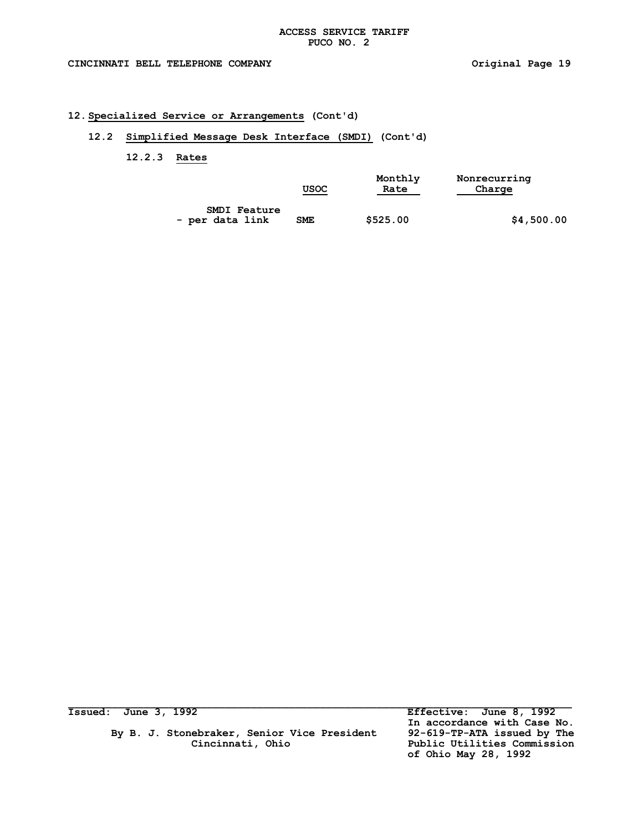### **12.Specialized Service or Arrangements (Cont'd)**

## **12.2 Simplified Message Desk Interface (SMDI) (Cont'd)**

### **12.2.3 Rates**

|                     | USOC       | Monthly<br>Rate | Nonrecurring<br>Charge |
|---------------------|------------|-----------------|------------------------|
| <b>SMDI Feature</b> |            |                 |                        |
| - per data link     | <b>SME</b> | \$525.00        | \$4,500.00             |

By B. J. Stonebraker, Senior Vice President<br>Cincinnati, Ohio

**Issued: June 3, 1992 Effective: June 8, 1992 In accordance with Case No.** Public Utilities Commission  **of Ohio May 28, 1992**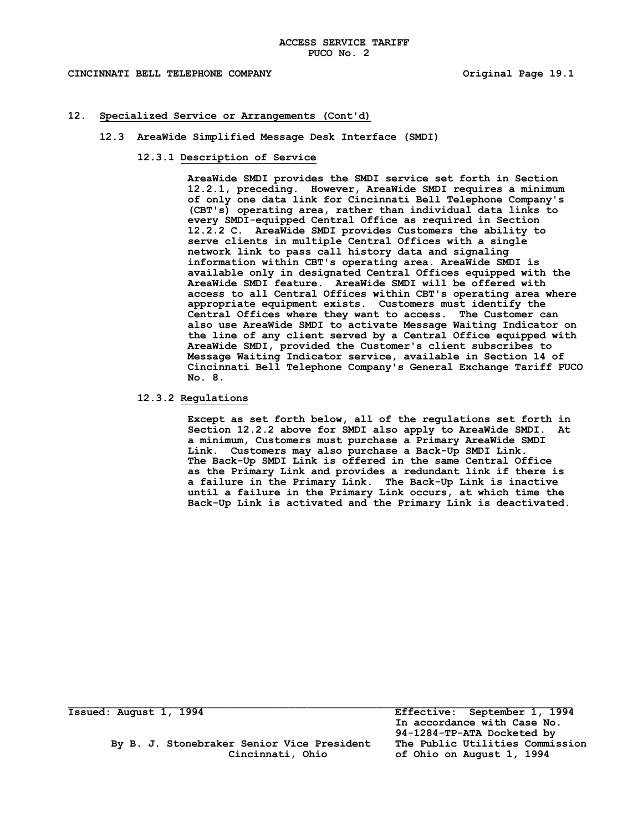### CINCINNATI BELL TELEPHONE COMPANY **All and Solution Company** original Page 19.1

### **12. Specialized Service or Arrangements (Cont'd) │**

- **12.3 AreaWide Simplified Message Desk Interface (SMDI) │**
	- 12.3.1 Description of Service

**AreaWide SMDI provides the SMDI service set forth in Section │ 12.2.1, preceding. However, AreaWide SMDI requires a minimum │ of only one data link for Cincinnati Bell Telephone Company's │ (CBT's) operating area, rather than individual data links to │ every SMDI-equipped Central Office as required in Section** 12.2.2 C. AreaWide SMDI provides Customers the ability to **serve clients in multiple Central Offices with a single │ network link to pass call history data and signaling │ information within CBT's operating area. AreaWide SMDI is │ available only in designated Central Offices equipped with the │ AreaWide SMDI feature.** AreaWide SMDI will be offered with **access to all Central Offices within CBT's operating area where │** appropriate equipment exists. Customers must identify the **Central Offices where they want to access. The Customer can │ also use AreaWide SMDI to activate Message Waiting Indicator on │ the line of any client served by a Central Office equipped with │ AreaWide SMDI, provided the Customer's client subscribes to │ Message Waiting Indicator service, available in Section 14 of Cincinnati Bell Telephone Company's General Exchange Tariff PUCO │ No. 8. │**

### **12.3.2 Regulations │**

Except as set forth below, all of the regulations set forth in **Section 12.2.2 above for SMDI also apply to AreaWide SMDI. At │ a minimum, Customers must purchase a Primary AreaWide SMDI │ Link. Customers may also purchase a Back-Up SMDI Link. │** The Back-Up SMDI Link is offered in the same Central Office **as the Primary Link and provides a redundant link if there is │ a failure in the Primary Link. The Back-Up Link is inactive │** until a failure in the Primary Link occurs, at which time the **Back-Up Link is activated and the Primary Link is deactivated. (N)** 

By B. J. Stonebraker Senior Vice President  **Cincinnati, Ohio of Ohio on August 1, 1994**

**Issued: August 1, 1994 Effective: September 1, 1994 In accordance with Case No. 94-1284-TP-ATA Docketed by**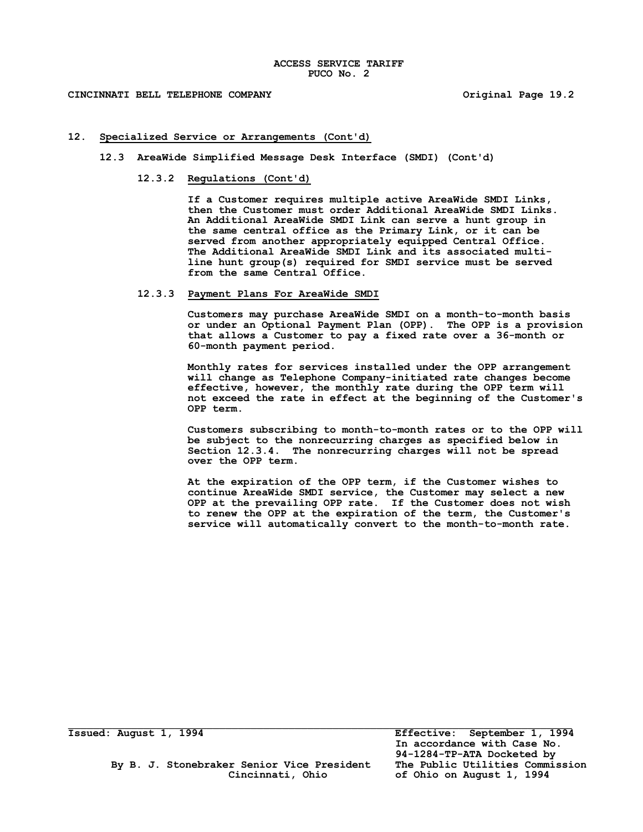### **CINCINNATI BELL TELEPHONE COMPANY Original Page 19.2 (N)**

### **12. Specialized Service or Arrangements (Cont'd) │**

- **12.3 AreaWide Simplified Message Desk Interface (SMDI) (Cont'd)**
	- **12.3.2 Regulations (Cont'd) │**

**If a Customer requires multiple active AreaWide SMDI Links, │ then the Customer must order Additional AreaWide SMDI Links. │ An Additional AreaWide SMDI Link can serve a hunt group in │** the same central office as the Primary Link, or it can be **served from another appropriately equipped Central Office. │ The Additional AreaWide SMDI Link and its associated multi- │ line hunt group(s) required for SMDI service must be served │** from the same Central Office.

### **12.3.3 Payment Plans For AreaWide SMDI │**

**Customers may purchase AreaWide SMDI on a month-to-month basis │ or under an Optional Payment Plan (OPP). The OPP is a provision │ that allows a Customer to pay a fixed rate over a 36-month or │ 60-month payment period. │**

**Monthly rates for services installed under the OPP arrangement │ will change as Telephone Company-initiated rate changes become │ effective, however, the monthly rate during the OPP term will │** not exceed the rate in effect at the beginning of the Customer's OPP term. **OPP term. │**

**Customers subscribing to month-to-month rates or to the OPP will │** be subject to the nonrecurring charges as specified below in **Section 12.3.4. The nonrecurring charges will not be spread │ over the OPP term. │**

**At the expiration of the OPP term, if the Customer wishes to │ continue AreaWide SMDI service, the Customer may select a new │** OPP at the prevailing OPP rate. If the Customer does not wish **to renew the OPP at the expiration of the term, the Customer's │**  service will automatically convert to the month-to-month rate.

 **By B. J. Stonebraker Senior Vice President The Public Utilities Commission**

**Issued: August 1, 1994 Effective: September 1, 1994 In accordance with Case No. 94-1284-TP-ATA Docketed by Cincinnati, Ohio of Ohio on August 1, 1994**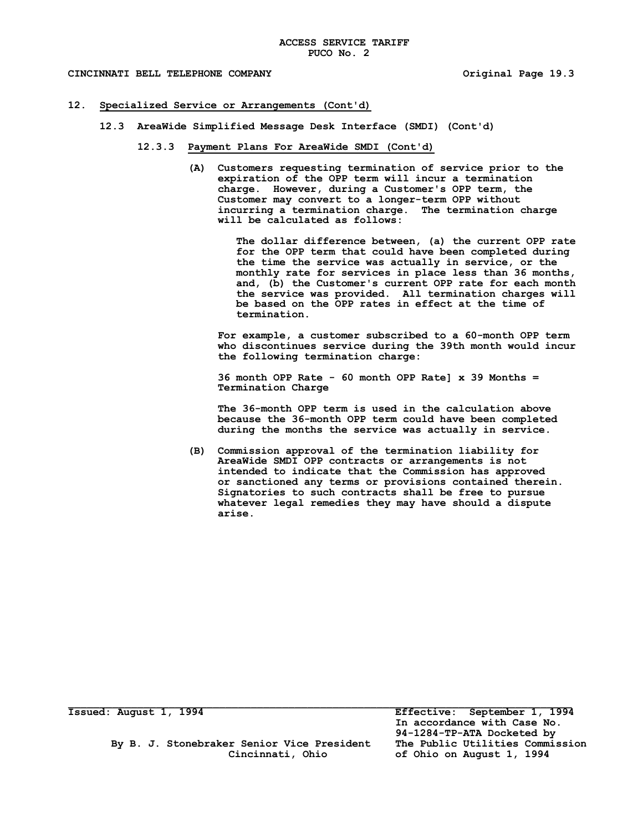### **12. Specialized Service or Arrangements (Cont'd) │**

- **12.3 AreaWide Simplified Message Desk Interface (SMDI) (Cont'd)**
	- **12.3.3 Payment Plans For AreaWide SMDI (Cont'd) │**
		- **(A) Customers requesting termination of service prior to the │ expiration of the OPP term will incur a termination** charge. However, during a Customer's OPP term, the **Customer may convert to a longer-term OPP without │** incurring a termination charge. The termination charge **will be calculated as follows:**

The dollar difference between, (a) the current OPP rate for the OPP term that could have been completed during the time the service was actually in service, or the monthly rate for services in place less than 36 months, and, (b) the Customer's current OPP rate for each month  **the service was provided. All termination charges will │** be based on the OPP rates in effect at the time of  **termination. │**

**For example, a customer subscribed to a 60-month OPP term │ who discontinues service during the 39th month would incur │ the following termination charge: │**

**36 month OPP Rate - 60 month OPP Rate] x 39 Months = │ Termination Charge │**

The 36-month OPP term is used in the calculation above because the 36-month OPP term could have been completed **during the months the service was actually in service. │**

**(B) Commission approval of the termination liability for │ AreaWide SMDI OPP contracts or arrangements is not │ intended to indicate that the Commission has approved │ or sanctioned any terms or provisions contained therein. │ Signatories to such contracts shall be free to pursue │** whatever legal remedies they may have should a dispute **arise. (N)**

By B. J. Stonebraker Senior Vice President

**Issued: August 1, 1994 Effective: September 1, 1994 In accordance with Case No. 94-1284-TP-ATA Docketed by Cincinnati, Ohio of Ohio on August 1, 1994**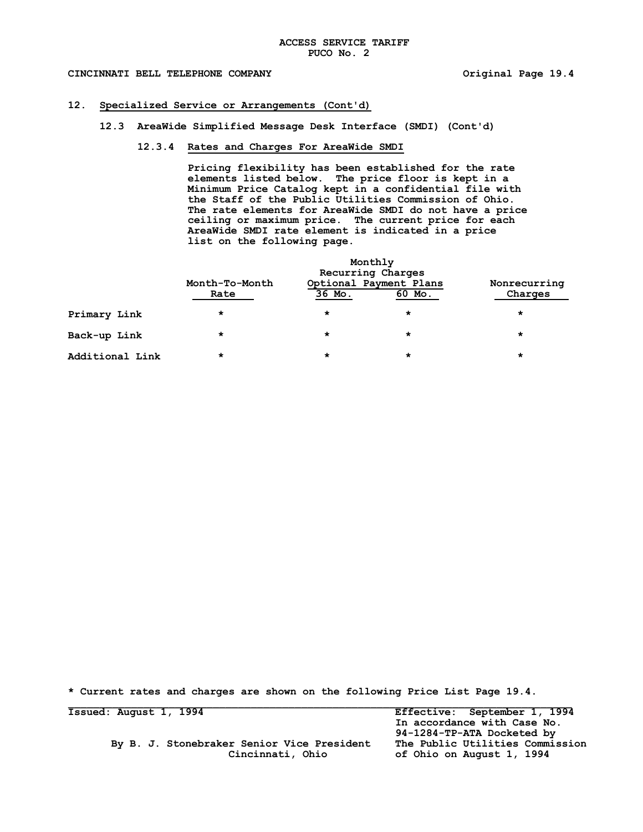### CINCINNATI BELL TELEPHONE COMPANY **All and START SET ASSESSED ASSESSED AT A CONTRACT PAGE 19.4**

### **12. Specialized Service or Arrangements (Cont'd) │**

**12.3 AreaWide Simplified Message Desk Interface (SMDI) (Cont'd)**

### **12.3.4 Rates and Charges For AreaWide SMDI**

**Pricing flexibility has been established for the rate │ elements listed below.** The price floor is kept in a **Minimum Price Catalog kept in a confidential file with │ the Staff of the Public Utilities Commission of Ohio. │** The rate elements for AreaWide SMDI do not have a price **ceiling or maximum price.** The current price for each **AreaWide SMDI rate element is indicated in a price │ list on the following page. │**

|                 |                        | Monthly<br>Recurring Charges |                                  |                         |  |
|-----------------|------------------------|------------------------------|----------------------------------|-------------------------|--|
|                 | Month-To-Month<br>Rate | 36 Mo.                       | Optional Payment Plans<br>60 Mo. | Nonrecurring<br>Charges |  |
| Primary Link    | *                      | $\star$                      | *                                | *                       |  |
| Back-up Link    | $\star$                | $\star$                      | *                                |                         |  |
| Additional Link | *                      | $\star$                      | *                                | *                       |  |

**\* Current rates and charges are shown on the following Price List Page 19.4.**

| Issued: August 1, 1994                     | Effective: September 1, 1994    |
|--------------------------------------------|---------------------------------|
|                                            | In accordance with Case No.     |
|                                            | 94-1284-TP-ATA Docketed by      |
| By B. J. Stonebraker Senior Vice President | The Public Utilities Commission |
| Cincinnati, Ohio                           | of Ohio on August 1, 1994       |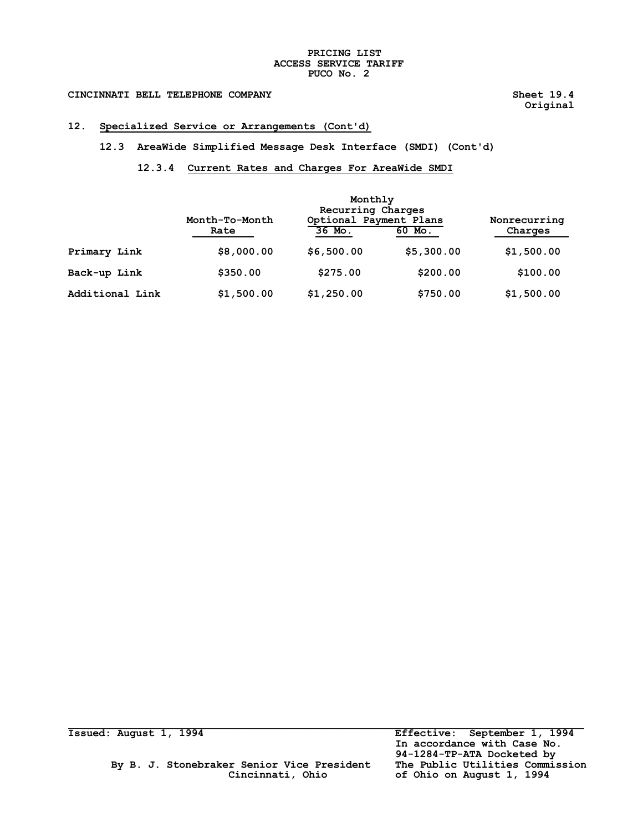### **PRICING LIST ACCESS SERVICE TARIFF PUCO No. 2**

# CINCINNATI BELL TELEPHONE COMPANY **Sheet 19.4** Sheet 19.4

 **Original │**

### **12. Specialized Service or Arrangements (Cont'd) │**

**12.3 AreaWide Simplified Message Desk Interface (SMDI) (Cont'd)**

## **12.3.4 Current Rates and Charges For AreaWide SMDI │**

|                 |                        | Monthly<br>Recurring Charges     |            |                         |  |
|-----------------|------------------------|----------------------------------|------------|-------------------------|--|
|                 | Month-To-Month<br>Rate | Optional Payment Plans<br>36 Mo. | 60 Mo.     | Nonrecurring<br>Charges |  |
| Primary Link    | \$8,000.00             | \$6,500.00                       | \$5,300.00 | \$1,500.00              |  |
| Back-up Link    | \$350.00               | \$275.00                         | \$200.00   | \$100.00                |  |
| Additional Link | \$1,500.00             | \$1,250.00                       | \$750.00   | \$1,500.00              |  |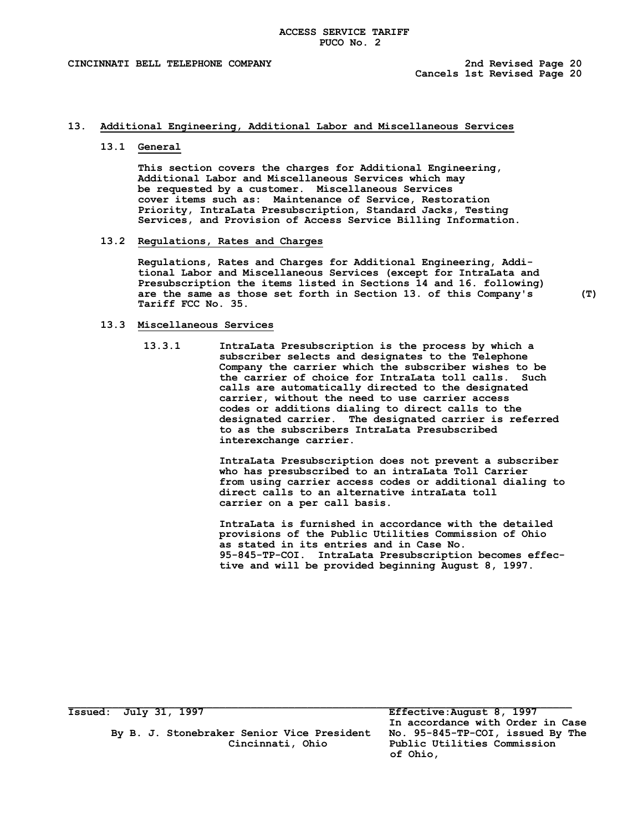### **13. Additional Engineering, Additional Labor and Miscellaneous Services**

### **13.1 General**

**This section covers the charges for Additional Engineering, Additional Labor and Miscellaneous Services which may be requested by a customer. Miscellaneous Services cover items such as: Maintenance of Service, Restoration Priority, IntraLata Presubscription, Standard Jacks, Testing Services, and Provision of Access Service Billing Information.**

### **13.2 Regulations, Rates and Charges**

**Regulations, Rates and Charges for Additional Engineering, Additional Labor and Miscellaneous Services (except for IntraLata and Presubscription the items listed in Sections 14 and 16. following) are the same as those set forth in Section 13. of this Company's (T) Tariff FCC No. 35.**

### **13.3 Miscellaneous Services**

**13.3.1 IntraLata Presubscription is the process by which a subscriber selects and designates to the Telephone Company the carrier which the subscriber wishes to be the carrier of choice for IntraLata toll calls. Such calls are automatically directed to the designated carrier, without the need to use carrier access codes or additions dialing to direct calls to the designated carrier. The designated carrier is referred to as the subscribers IntraLata Presubscribed interexchange carrier.**

> **IntraLata Presubscription does not prevent a subscriber who has presubscribed to an intraLata Toll Carrier from using carrier access codes or additional dialing to direct calls to an alternative intraLata toll carrier on a per call basis.**

> **IntraLata is furnished in accordance with the detailed provisions of the Public Utilities Commission of Ohio as stated in its entries and in Case No. 95-845-TP-COI. IntraLata Presubscription becomes effective and will be provided beginning August 8, 1997.**

 **By B. J. Stonebraker Senior Vice President No. 95-845-TP-COI, issued By The**

**Issued: July 31, 1997 Effective:August 8, 1997 In accordance with Order in Case**  Public Utilities Commission  **of Ohio,**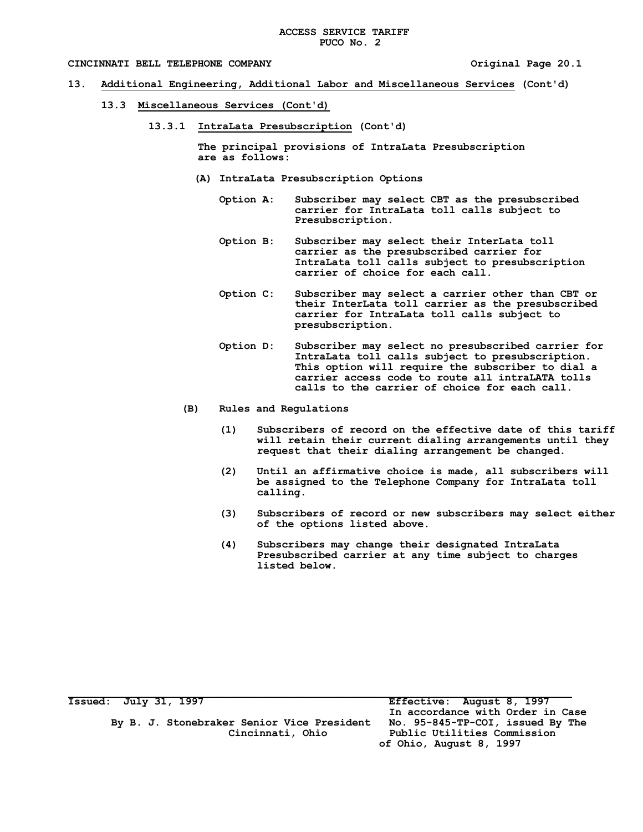### **CINCINNATI BELL TELEPHONE COMPANY Original Page 20.1**

- **13. Additional Engineering, Additional Labor and Miscellaneous Services (Cont'd)**
	- **13.3 Miscellaneous Services (Cont'd)**
		- **13.3.1 IntraLata Presubscription (Cont'd)**

 **The principal provisions of IntraLata Presubscription are as follows:**

- **(A) IntraLata Presubscription Options**
	- **Option A: Subscriber may select CBT as the presubscribed carrier for IntraLata toll calls subject to Presubscription.**
	- **Option B: Subscriber may select their InterLata toll carrier as the presubscribed carrier for IntraLata toll calls subject to presubscription carrier of choice for each call.**
	- **Option C: Subscriber may select a carrier other than CBT or their InterLata toll carrier as the presubscribed carrier for IntraLata toll calls subject to presubscription.**
	- **Option D: Subscriber may select no presubscribed carrier for IntraLata toll calls subject to presubscription. This option will require the subscriber to dial a carrier access code to route all intraLATA tolls calls to the carrier of choice for each call.**
- **(B) Rules and Regulations**
	- **(1) Subscribers of record on the effective date of this tariff will retain their current dialing arrangements until they request that their dialing arrangement be changed.**
	- **(2) Until an affirmative choice is made, all subscribers will be assigned to the Telephone Company for IntraLata toll calling.**
	- **(3) Subscribers of record or new subscribers may select either of the options listed above.**
	- **(4) Subscribers may change their designated IntraLata Presubscribed carrier at any time subject to charges listed below.**

| <b>Issued: July 31, 1997</b>               | Effective: August 8, 1997        |
|--------------------------------------------|----------------------------------|
|                                            | In accordance with Order in Case |
| By B. J. Stonebraker Senior Vice President | No. 95-845-TP-COI, issued By The |
| Cincinnati, Ohio                           | Public Utilities Commission      |
|                                            | of Ohio, August 8, 1997          |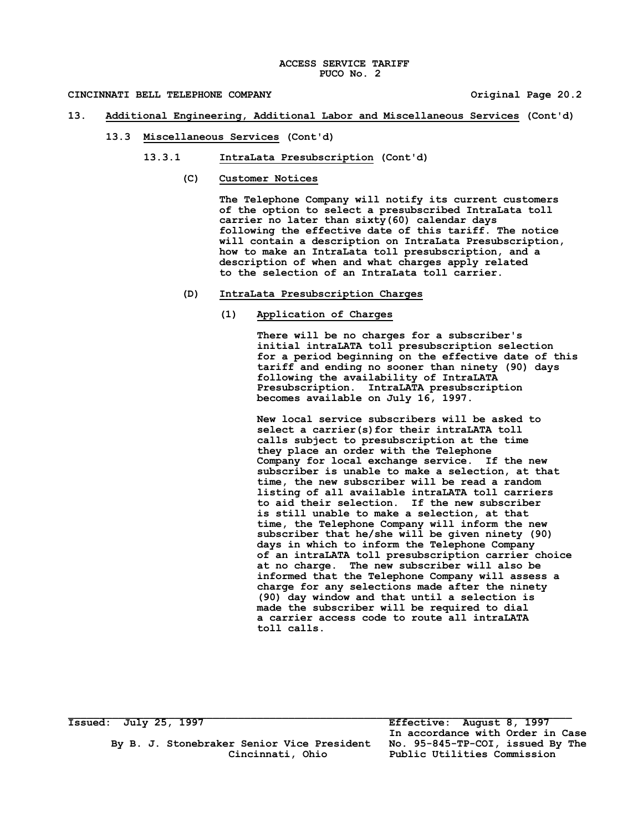- **13. Additional Engineering, Additional Labor and Miscellaneous Services (Cont'd)**
	- **13.3 Miscellaneous Services (Cont'd)**
		- **13.3.1 IntraLata Presubscription (Cont'd)**
			- **(C) Customer Notices**

**The Telephone Company will notify its current customers of the option to select a presubscribed IntraLata toll carrier no later than sixty(60) calendar days following the effective date of this tariff. The notice will contain a description on IntraLata Presubscription, how to make an IntraLata toll presubscription, and a description of when and what charges apply related to the selection of an IntraLata toll carrier.**

- **(D) IntraLata Presubscription Charges**
	- **(1) Application of Charges**

**There will be no charges for a subscriber's initial intraLATA toll presubscription selection for a period beginning on the effective date of this tariff and ending no sooner than ninety (90) days following the availability of IntraLATA Presubscription. IntraLATA presubscription becomes available on July 16, 1997.**

**New local service subscribers will be asked to select a carrier(s)for their intraLATA toll calls subject to presubscription at the time they place an order with the Telephone Company for local exchange service. If the new subscriber is unable to make a selection, at that time, the new subscriber will be read a random listing of all available intraLATA toll carriers to aid their selection. If the new subscriber is still unable to make a selection, at that time, the Telephone Company will inform the new subscriber that he/she will be given ninety (90) days in which to inform the Telephone Company of an intraLATA toll presubscription carrier choice at no charge. The new subscriber will also be informed that the Telephone Company will assess a charge for any selections made after the ninety (90) day window and that until a selection is made the subscriber will be required to dial a carrier access code to route all intraLATA toll calls.**

 **By B. J. Stonebraker Senior Vice President No. 95-845-TP-COI, issued By The**

**Issued: July 25, 1997 Effective: August 8, 1997 In accordance with Order in Case Cincinnati, Ohio Public Utilities Commission**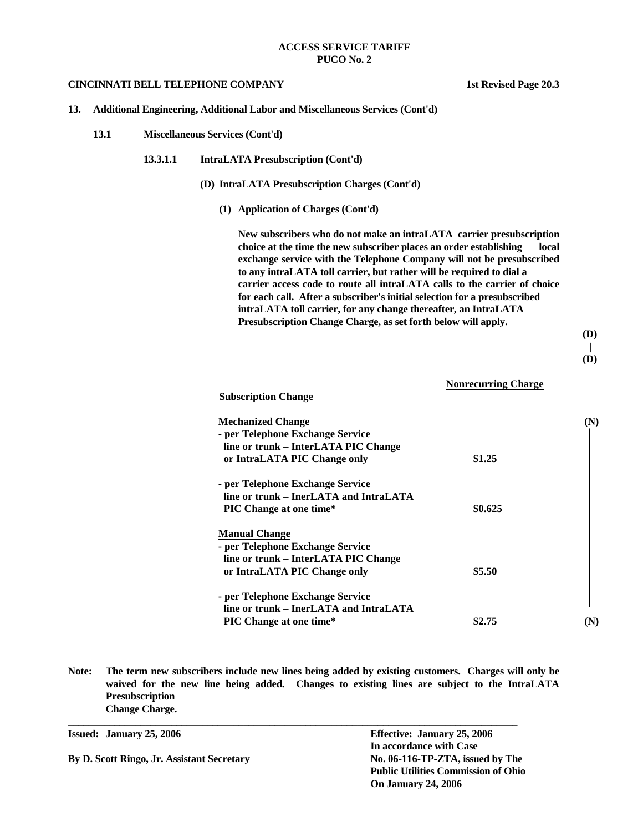### **CINCINNATI BELL TELEPHONE COMPANY 1st Revised Page 20.3**

**13. Additional Engineering, Additional Labor and Miscellaneous Services (Cont'd)**

- **13.1 Miscellaneous Services (Cont'd)**
	- **13.3.1.1 IntraLATA Presubscription (Cont'd)**
		- **(D) IntraLATA Presubscription Charges (Cont'd)**
			- **(1) Application of Charges (Cont'd)**

**New subscribers who do not make an intraLATA carrier presubscription choice at the time the new subscriber places an order establishing local exchange service with the Telephone Company will not be presubscribed to any intraLATA toll carrier, but rather will be required to dial a carrier access code to route all intraLATA calls to the carrier of choice for each call. After a subscriber's initial selection for a presubscribed intraLATA toll carrier, for any change thereafter, an IntraLATA Presubscription Change Charge, as set forth below will apply.**

 **(D)**

$$
\mathcal{L}^{\mathcal{L}}(\mathcal{L}^{\mathcal{L}})
$$

 **(D)**

 **Nonrecurring Charge**

**Subscription Change** 

| <b>Mechanized Change</b>               |         |  |
|----------------------------------------|---------|--|
| - per Telephone Exchange Service       |         |  |
| line or trunk – InterLATA PIC Change   |         |  |
| or IntraLATA PIC Change only           | \$1.25  |  |
| - per Telephone Exchange Service       |         |  |
| line or trunk – InerLATA and IntraLATA |         |  |
| <b>PIC Change at one time*</b>         | \$0.625 |  |
| <b>Manual Change</b>                   |         |  |
| - per Telephone Exchange Service       |         |  |
| line or trunk – InterLATA PIC Change   |         |  |
| or IntraLATA PIC Change only           | \$5.50  |  |
| - per Telephone Exchange Service       |         |  |
| line or trunk – InerLATA and IntraLATA |         |  |
| <b>PIC Change at one time*</b>         | \$2.75  |  |

**Note: The term new subscribers include new lines being added by existing customers. Charges will only be waived for the new line being added. Changes to existing lines are subject to the IntraLATA Presubscription Change Charge.**

**Issued: January 25, 2006 Effective: January 25, 2006 In accordance with Case By D. Scott Ringo, Jr. Assistant Secretary No. 06-116-TP-ZTA, issued by The Public Utilities Commission of Ohio On January 24, 2006**

**\_\_\_\_\_\_\_\_\_\_\_\_\_\_\_\_\_\_\_\_\_\_\_\_\_\_\_\_\_\_\_\_\_\_\_\_\_\_\_\_\_\_\_\_\_\_\_\_\_\_\_\_\_\_\_\_\_\_\_\_\_\_\_\_\_\_\_\_\_\_\_\_\_\_\_\_\_\_\_\_\_\_\_\_\_\_\_**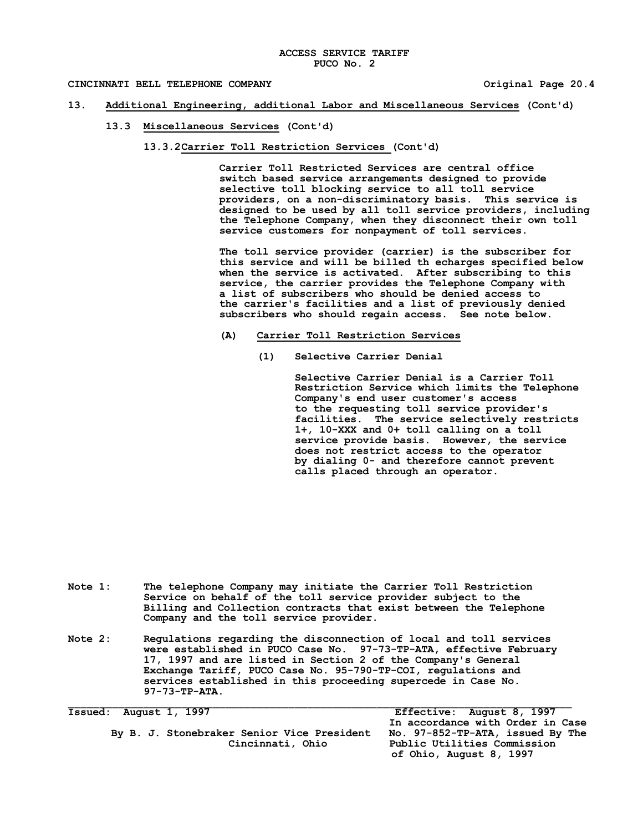### **CINCINNATI BELL TELEPHONE COMPANY Original Page 20.4**

### **13. Additional Engineering, additional Labor and Miscellaneous Services (Cont'd)**

- **13.3 Miscellaneous Services (Cont'd)**
	- **13.3.2Carrier Toll Restriction Services (Cont'd)**

**Carrier Toll Restricted Services are central office switch based service arrangements designed to provide selective toll blocking service to all toll service providers, on a non-discriminatory basis. This service is designed to be used by all toll service providers, including the Telephone Company, when they disconnect their own toll service customers for nonpayment of toll services.**

**The toll service provider (carrier) is the subscriber for this service and will be billed th echarges specified below when the service is activated. After subscribing to this service, the carrier provides the Telephone Company with a list of subscribers who should be denied access to the carrier's facilities and a list of previously denied subscribers who should regain access. See note below.** 

- **(A) Carrier Toll Restriction Services**
	- **(1) Selective Carrier Denial**

**Selective Carrier Denial is a Carrier Toll Restriction Service which limits the Telephone Company's end user customer's access to the requesting toll service provider's facilities. The service selectively restricts 1+, 10-XXX and 0+ toll calling on a toll service provide basis. However, the service does not restrict access to the operator by dialing 0- and therefore cannot prevent calls placed through an operator.**

- **Note 1: The telephone Company may initiate the Carrier Toll Restriction Service on behalf of the toll service provider subject to the Billing and Collection contracts that exist between the Telephone Company and the toll service provider.**
- **Note 2: Regulations regarding the disconnection of local and toll services were established in PUCO Case No. 97-73-TP-ATA, effective February 17, 1997 and are listed in Section 2 of the Company's General Exchange Tariff, PUCO Case No. 95-790-TP-COI, regulations and services established in this proceeding supercede in Case No. 97-73-TP-ATA.**

 **By B. J. Stonebraker Senior Vice President No. 97-852-TP-ATA, issued By The**

**Issued: August 1, 1997 Effective: August 8, 1997 In accordance with Order in Case**  Public Utilities Commission  **of Ohio, August 8, 1997**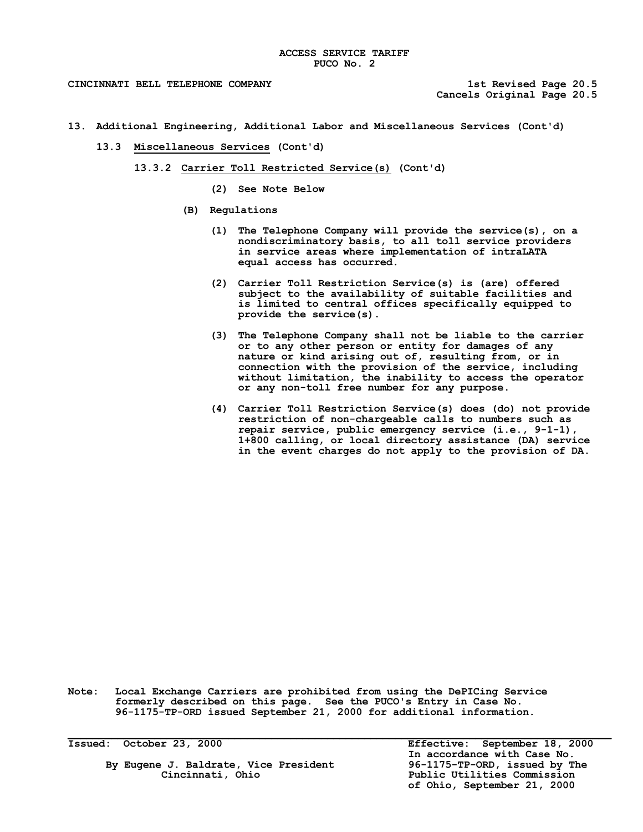### **CINCINNATI BELL TELEPHONE COMPANY 1st Revised Page 20.5**

**Cancels Original Page 20.5**

- **13. Additional Engineering, Additional Labor and Miscellaneous Services (Cont'd)**
	- **13.3 Miscellaneous Services (Cont'd)**
		- **13.3.2 Carrier Toll Restricted Service(s) (Cont'd)**
			- **(2) See Note Below**
			- **(B) Regulations**
				- **(1) The Telephone Company will provide the service(s), on a nondiscriminatory basis, to all toll service providers in service areas where implementation of intraLATA equal access has occurred.**
				- **(2) Carrier Toll Restriction Service(s) is (are) offered subject to the availability of suitable facilities and is limited to central offices specifically equipped to provide the service(s).**
				- **(3) The Telephone Company shall not be liable to the carrier or to any other person or entity for damages of any nature or kind arising out of, resulting from, or in connection with the provision of the service, including without limitation, the inability to access the operator or any non-toll free number for any purpose.**
				- **(4) Carrier Toll Restriction Service(s) does (do) not provide restriction of non-chargeable calls to numbers such as repair service, public emergency service (i.e., 9-1-1), 1+800 calling, or local directory assistance (DA) service in the event charges do not apply to the provision of DA.**

**Note: Local Exchange Carriers are prohibited from using the DePICing Service formerly described on this page. See the PUCO's Entry in Case No. 96-1175-TP-ORD issued September 21, 2000 for additional information.**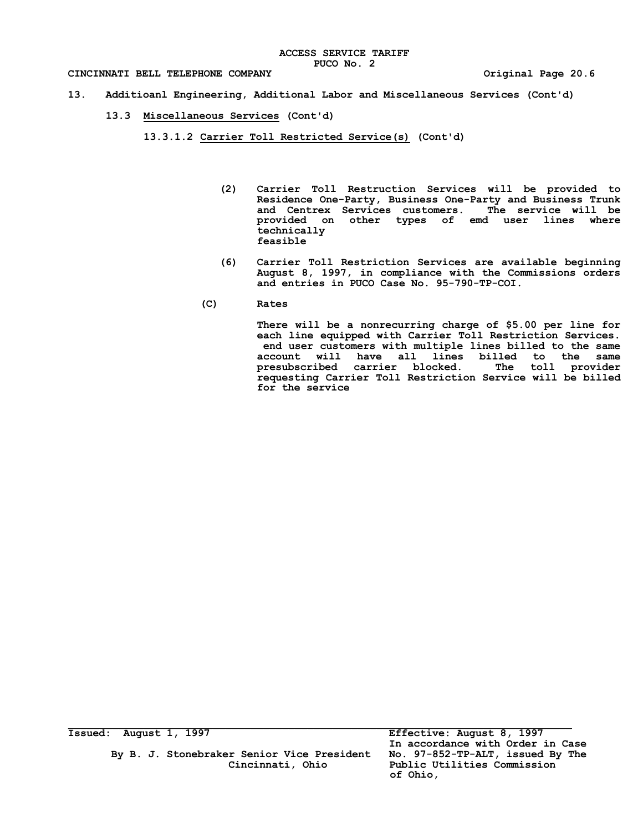- **13. Additioanl Engineering, Additional Labor and Miscellaneous Services (Cont'd)**
	- **13.3 Miscellaneous Services (Cont'd)**
		- **13.3.1.2 Carrier Toll Restricted Service(s) (Cont'd)**
			- **(2) Carrier Toll Restruction Services will be provided to Residence One-Party, Business One-Party and Business Trunk and Centrex Services customers. The service will be provided on other types of emd user lines where technically feasible**
			- **(6) Carrier Toll Restriction Services are available beginning August 8, 1997, in compliance with the Commissions orders and entries in PUCO Case No. 95-790-TP-COI.**
			- **(C) Rates**

**There will be a nonrecurring charge of \$5.00 per line for each line equipped with Carrier Toll Restriction Services. end user customers with multiple lines billed to the same account will have all lines billed to the same presubscribed carrier blocked. The toll provider requesting Carrier Toll Restriction Service will be billed for the service**

 **By B. J. Stonebraker Senior Vice President No. 97-852-TP-ALT, issued By The**

**Issued: August 1, 1997 Effective: August 8, 1997 In accordance with Order in Case**  Public Utilities Commission  **of Ohio,**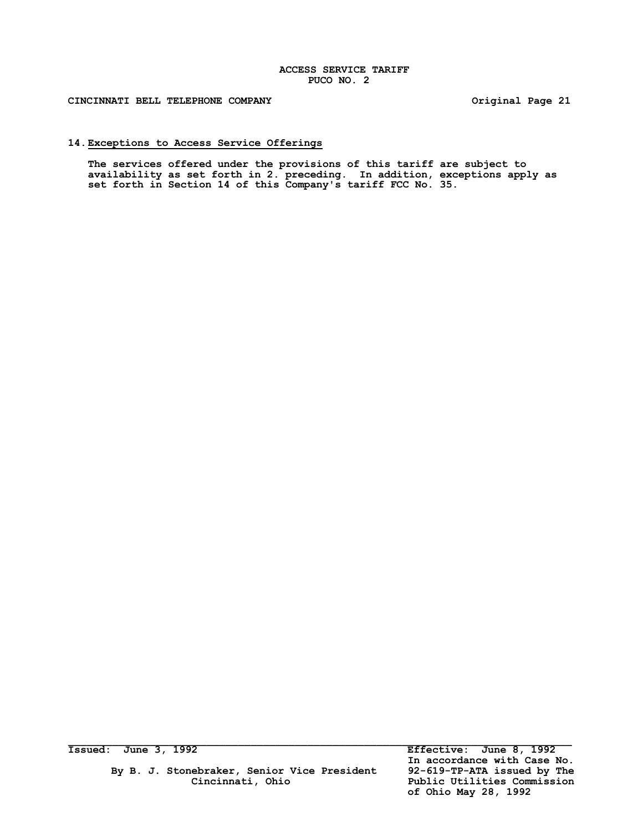**CINCINNATI BELL TELEPHONE COMPANY Original Page 21**

### **14.Exceptions to Access Service Offerings**

**The services offered under the provisions of this tariff are subject to availability as set forth in 2. preceding. In addition, exceptions apply as set forth in Section 14 of this Company's tariff FCC No. 35.**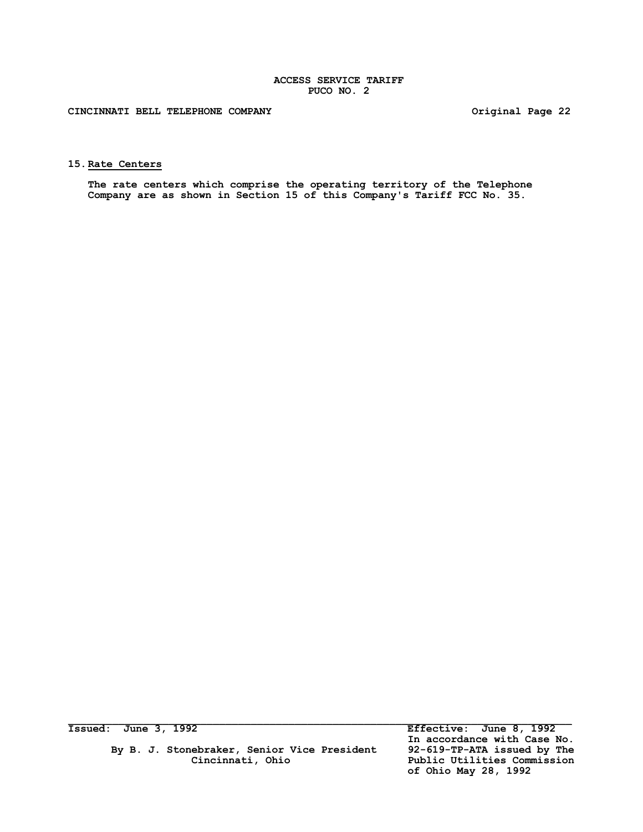**CINCINNATI BELL TELEPHONE COMPANY Original Page 22**

**15.Rate Centers**

**The rate centers which comprise the operating territory of the Telephone Company are as shown in Section 15 of this Company's Tariff FCC No. 35.**

By B. J. Stonebraker, Senior Vice President<br>Cincinnati, Ohio  **Cincinnati, Ohio Public Utilities Commission**

**Issued: June 3, 1992 Effective: June 8, 1992 In accordance with Case No. of Ohio May 28, 1992**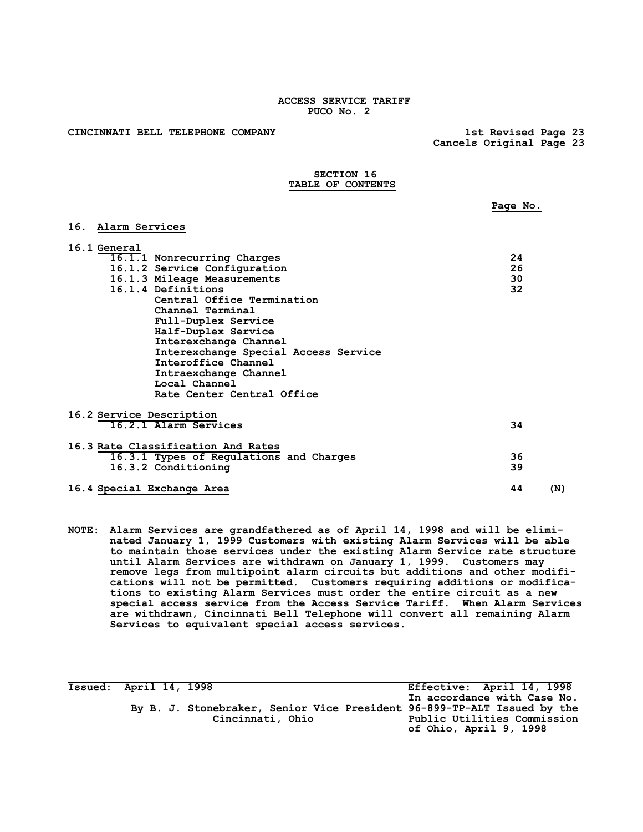**CINCINNATI BELL TELEPHONE COMPANY 1st Revised Page 23**

 **Cancels Original Page 23**

### **SECTION 16 TABLE OF CONTENTS**

|                                         | Page No.  |
|-----------------------------------------|-----------|
| 16. Alarm Services                      |           |
| 16.1 General                            |           |
| 16.1.1 Nonrecurring Charges             | 24        |
| 16.1.2 Service Configuration            | 26        |
| 16.1.3 Mileage Measurements             | 30        |
| 16.1.4 Definitions                      | 32        |
| Central Office Termination              |           |
| Channel Terminal                        |           |
| Full-Duplex Service                     |           |
| Half-Duplex Service                     |           |
| Interexchange Channel                   |           |
| Interexchange Special Access Service    |           |
| Interoffice Channel                     |           |
| Intraexchange Channel                   |           |
| Local Channel                           |           |
| Rate Center Central Office              |           |
| 16.2 Service Description                |           |
| 16.2.1 Alarm Services                   | 34        |
| 16.3 Rate Classification And Rates      |           |
| 16.3.1 Types of Regulations and Charges | 36        |
| 16.3.2 Conditioning                     | 39        |
| 16.4 Special Exchange Area              | 44<br>(N) |

**NOTE: Alarm Services are grandfathered as of April 14, 1998 and will be eliminated January 1, 1999 Customers with existing Alarm Services will be able to maintain those services under the existing Alarm Service rate structure until Alarm Services are withdrawn on January 1, 1999. Customers may remove legs from multipoint alarm circuits but additions and other modifications will not be permitted. Customers requiring additions or modifications to existing Alarm Services must order the entire circuit as a new special access service from the Access Service Tariff. When Alarm Services are withdrawn, Cincinnati Bell Telephone will convert all remaining Alarm Services to equivalent special access services.**

**Issued: April 14, 1998 Effective: April 14, 1998 In accordance with Case No. By B. J. Stonebraker, Senior Vice President 96-899-TP-ALT Issued by the Cincinnati, Ohio Public Utilities Commission of Ohio, April 9, 1998**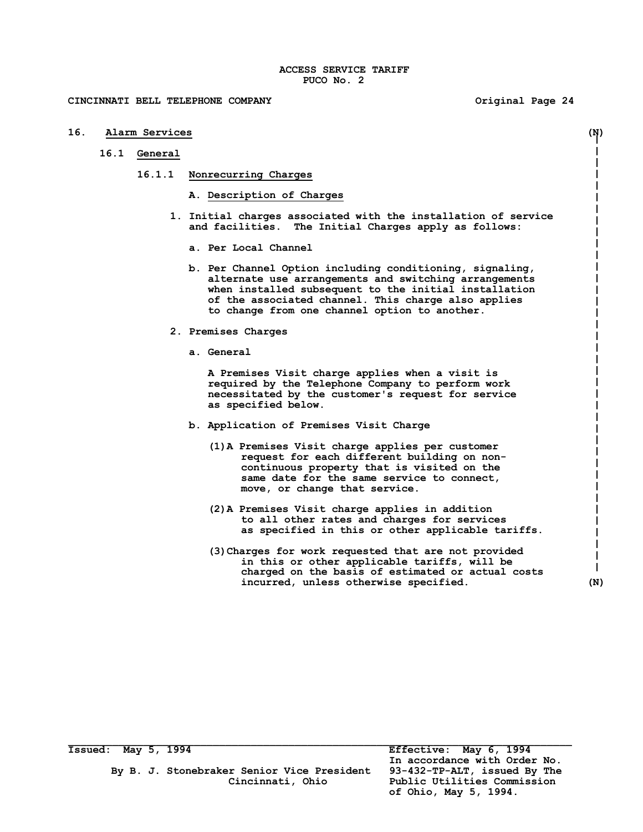### **CINCINNATI BELL TELEPHONE COMPANY Original Page 24**

**16. Alarm Services (N) 16.1 General 16.1.1 Nonrecurring Charges A. Description of Charges 1. Initial charges associated with the installation of service and facilities. The Initial Charges apply as follows: a. Per Local Channel b. Per Channel Option including conditioning, signaling, alternate use arrangements and switching arrangements when installed subsequent to the initial installation of the associated channel. This charge also applies to change from one channel option to another. 2. Premises Charges a. General A Premises Visit charge applies when a visit is required by the Telephone Company to perform work necessitated by the customer's request for service as specified below. b. Application of Premises Visit Charge (1)A Premises Visit charge applies per customer request for each different building on noncontinuous property that is visited on the same date for the same service to connect, move, or change that service. (2)A Premises Visit charge applies in addition to all other rates and charges for services as specified in this or other applicable tariffs. (3)Charges for work requested that are not provided in this or other applicable tariffs, will be charged on the basis of estimated or actual costs incurred, unless otherwise specified. (N)**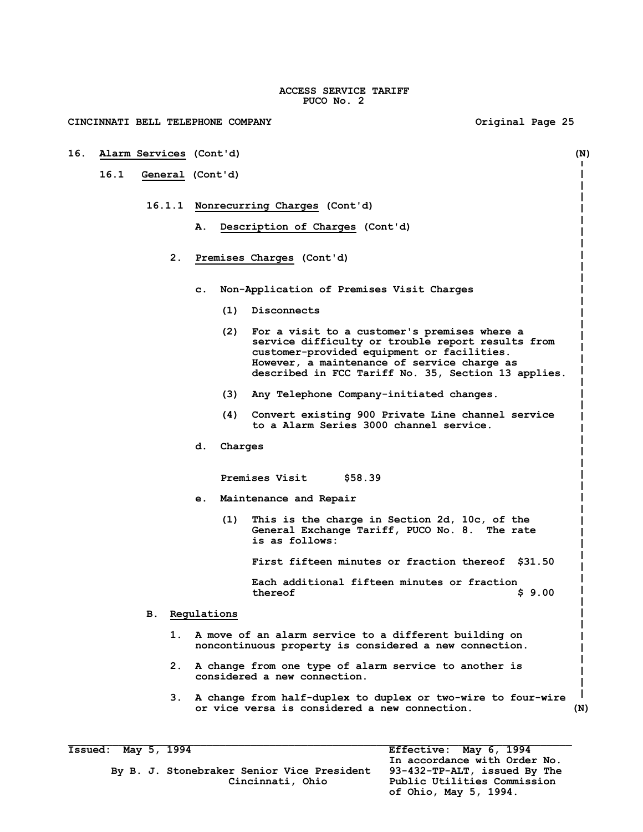**CINCINNATI BELL TELEPHONE COMPANY Original Page 25 16. Alarm Services (Cont'd) (N) 16.1 General (Cont'd) 16.1.1 Nonrecurring Charges (Cont'd) A. Description of Charges (Cont'd) 2. Premises Charges (Cont'd) c. Non-Application of Premises Visit Charges (1) Disconnects (2) For a visit to a customer's premises where a service difficulty or trouble report results from customer-provided equipment or facilities. However, a maintenance of service charge as described in FCC Tariff No. 35, Section 13 applies. (3) Any Telephone Company-initiated changes. (4) Convert existing 900 Private Line channel service to a Alarm Series 3000 channel service. d. Charges Premises Visit \$58.39 e. Maintenance and Repair (1) This is the charge in Section 2d, 10c, of the General Exchange Tariff, PUCO No. 8. The rate is as follows: First fifteen minutes or fraction thereof \$31.50 Each additional fifteen minutes or fraction thereof \$ 9.00 B. Regulations 1. A move of an alarm service to a different building on noncontinuous property is considered a new connection. 2. A change from one type of alarm service to another is considered a new connection. 3. A change from half-duplex to duplex or two-wire to four-wire or vice versa is considered a new connection. (N)**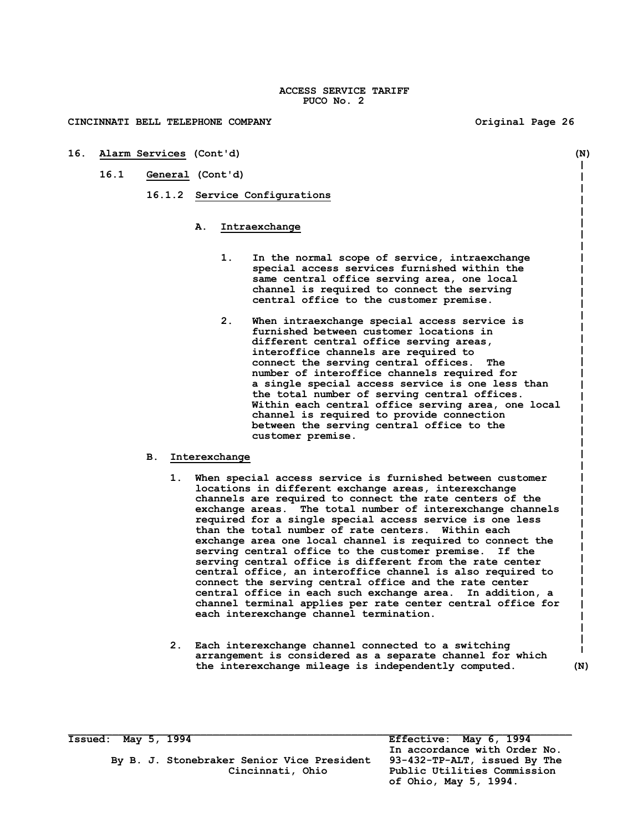**CINCINNATI BELL TELEPHONE COMPANY Original Page 26**

- **16. Alarm Services (Cont'd) (N)**  $\mathbf I$ **16.1 General (Cont'd) 16.1.2 Service Configurations A. Intraexchange 1. In the normal scope of service, intraexchange special access services furnished within the same central office serving area, one local channel is required to connect the serving central office to the customer premise. 2. When intraexchange special access service is furnished between customer locations in different central office serving areas, interoffice channels are required to connect the serving central offices. The number of interoffice channels required for a single special access service is one less than the total number of serving central offices. Within each central office serving area, one local channel is required to provide connection between the serving central office to the customer premise. B. Interexchange 1. When special access service is furnished between customer locations in different exchange areas, interexchange** 
	- **channels are required to connect the rate centers of the exchange areas. The total number of interexchange channels required for a single special access service is one less than the total number of rate centers. Within each exchange area one local channel is required to connect the serving central office to the customer premise. If the serving central office is different from the rate center central office, an interoffice channel is also required to connect the serving central office and the rate center central office in each such exchange area. In addition, a channel terminal applies per rate center central office for each interexchange channel termination.**
	- **2. Each interexchange channel connected to a switching**  H **arrangement is considered as a separate channel for which the interexchange mileage is independently computed. (N)**

**Issued: May 5, 1994 Effective: May 6, 1994**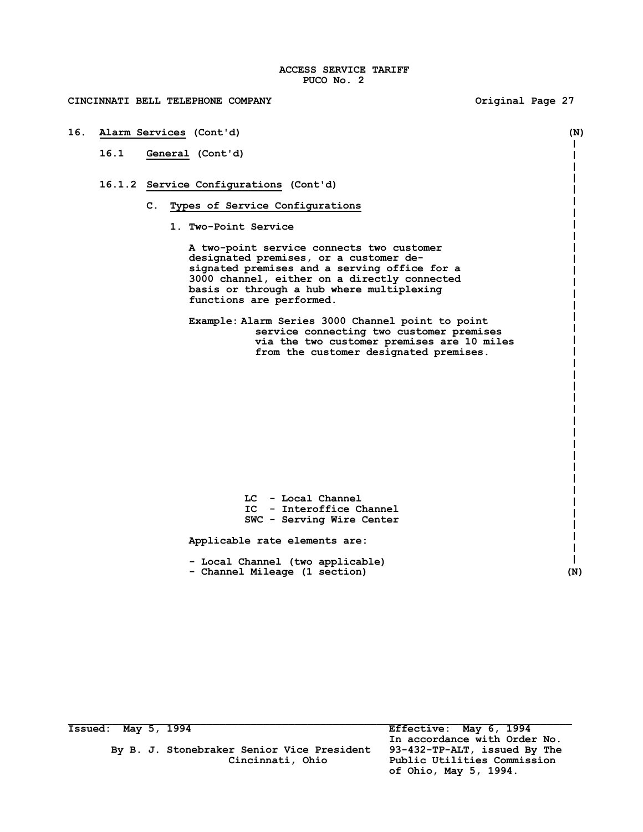**CINCINNATI BELL TELEPHONE COMPANY Original Page 27**

# **16. Alarm Services (Cont'd) (N) 16.1 General (Cont'd) 16.1.2 Service Configurations (Cont'd) C. Types of Service Configurations 1. Two-Point Service A two-point service connects two customer designated premises, or a customer designated premises and a serving office for a 3000 channel, either on a directly connected basis or through a hub where multiplexing functions are performed. Example: Alarm Series 3000 Channel point to point service connecting two customer premises via the two customer premises are 10 miles from the customer designated premises. LC - Local Channel IC - Interoffice Channel SWC - Serving Wire Center Applicable rate elements are: - Local Channel (two applicable) - Channel Mileage (1 section) (N)**

By B. J. Stonebraker Senior Vice President

**Issued: May 5, 1994 Effective: May 6, 1994 In accordance with Order No. Cincinnati, Ohio Public Utilities Commission of Ohio, May 5, 1994.**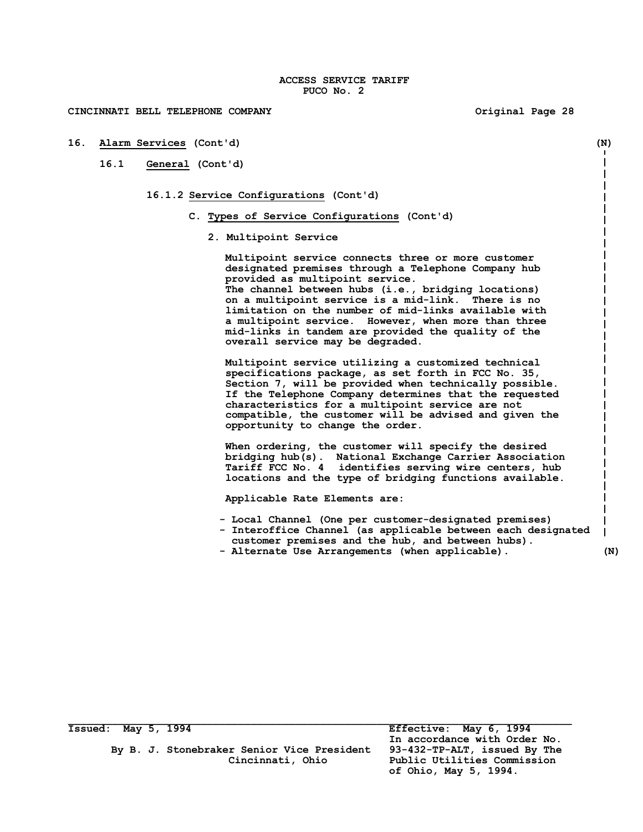| 16. |      | Alarm Services (Cont'd)<br>(N)                                                                                                                                                                                                                                                                                                                                                                                                                                      |     |
|-----|------|---------------------------------------------------------------------------------------------------------------------------------------------------------------------------------------------------------------------------------------------------------------------------------------------------------------------------------------------------------------------------------------------------------------------------------------------------------------------|-----|
|     | 16.1 | General (Cont'd)                                                                                                                                                                                                                                                                                                                                                                                                                                                    |     |
|     |      | 16.1.2 Service Configurations (Cont'd)                                                                                                                                                                                                                                                                                                                                                                                                                              |     |
|     |      | C. Types of Service Configurations (Cont'd)                                                                                                                                                                                                                                                                                                                                                                                                                         |     |
|     |      | 2. Multipoint Service                                                                                                                                                                                                                                                                                                                                                                                                                                               |     |
|     |      | Multipoint service connects three or more customer<br>designated premises through a Telephone Company hub<br>provided as multipoint service.<br>The channel between hubs (i.e., bridging locations)<br>on a multipoint service is a mid-link. There is no<br>limitation on the number of mid-links available with<br>a multipoint service. However, when more than three<br>mid-links in tandem are provided the quality of the<br>overall service may be degraded. |     |
|     |      | Multipoint service utilizing a customized technical<br>specifications package, as set forth in FCC No. 35,<br>Section 7, will be provided when technically possible.<br>If the Telephone Company determines that the requested<br>characteristics for a multipoint service are not<br>compatible, the customer will be advised and given the<br>opportunity to change the order.                                                                                    |     |
|     |      | When ordering, the customer will specify the desired<br>bridging hub(s). National Exchange Carrier Association<br>Tariff FCC No. 4 identifies serving wire centers, hub<br>locations and the type of bridging functions available.                                                                                                                                                                                                                                  |     |
|     |      | Applicable Rate Elements are:                                                                                                                                                                                                                                                                                                                                                                                                                                       |     |
|     |      | - Local Channel (One per customer-designated premises)<br>- Interoffice Channel (as applicable between each designated<br>customer premises and the hub, and between hubs).<br>- Alternate Use Arrangements (when applicable).                                                                                                                                                                                                                                      | (N) |

 **By B. J. Stonebraker Senior Vice President 93-432-TP-ALT, issued By The Cincinnati, Ohio Public Utilities Commission**

**Issued: May 5, 1994 Effective: May 6, 1994** *In accordance with Order No.*  **of Ohio, May 5, 1994.**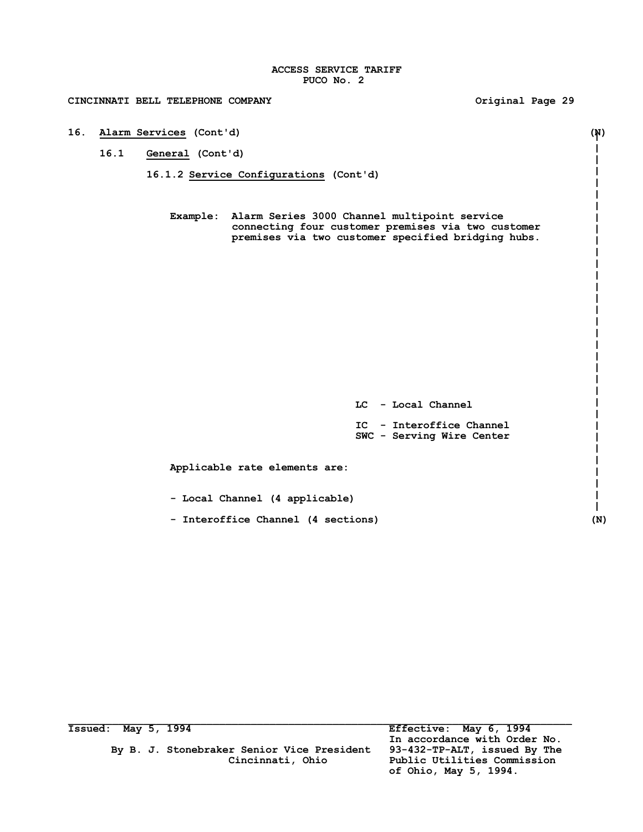**CINCINNATI BELL TELEPHONE COMPANY Original Page 29 16. Alarm Services (Cont'd) (N) 16.1 General (Cont'd) 16.1.2 Service Configurations (Cont'd) Example: Alarm Series 3000 Channel multipoint service connecting four customer premises via two customer premises via two customer specified bridging hubs. LC - Local Channel IC - Interoffice Channel SWC - Serving Wire Center Applicable rate elements are: - Local Channel (4 applicable) - Interoffice Channel (4 sections) (N)**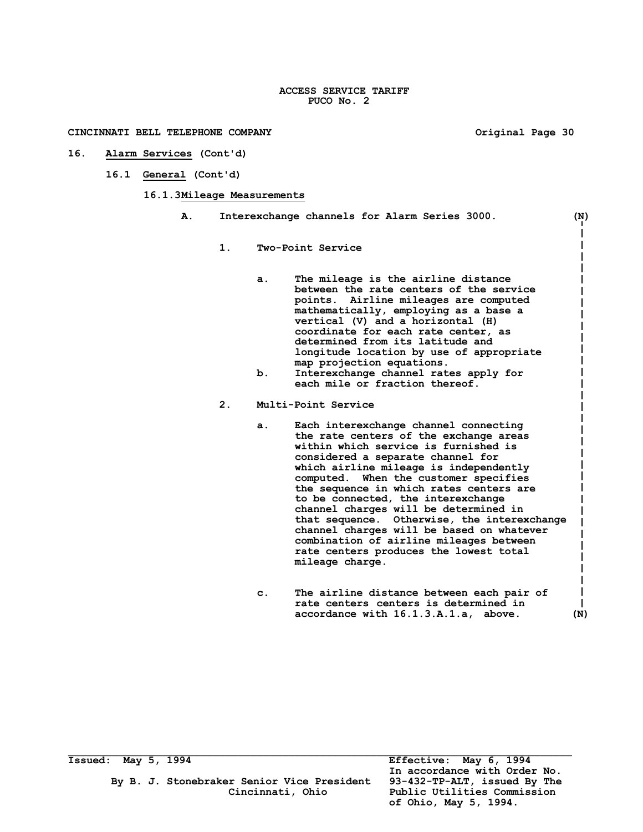$\mathbf{i}$  $\overline{\phantom{a}}$  $\mathbf{I}$  $\mathbf{I}$  $\mathbf{I}$  $\perp$ 

- **16. Alarm Services (Cont'd)** 
	- **16.1 General (Cont'd)**

### **16.1.3Mileage Measurements**

| Α. |       | Interexchange channels for Alarm Series 3000.                                                                                                                                                                                                                                                                                                                                                                                                                               | (N) |
|----|-------|-----------------------------------------------------------------------------------------------------------------------------------------------------------------------------------------------------------------------------------------------------------------------------------------------------------------------------------------------------------------------------------------------------------------------------------------------------------------------------|-----|
|    | $1$ . | Two-Point Service                                                                                                                                                                                                                                                                                                                                                                                                                                                           |     |
|    |       | The mileage is the airline distance<br>a.<br>between the rate centers of the service<br>points. Airline mileages are computed<br>mathematically, employing as a base a<br>vertical (V) and a horizontal (H)<br>coordinate for each rate center, as<br>determined from its latitude and<br>longitude location by use of appropriate<br>map projection equations.<br>b.<br>Interexchange channel rates apply for<br>each mile or fraction thereof.                            |     |
|    | 2.    | Multi-Point Service                                                                                                                                                                                                                                                                                                                                                                                                                                                         |     |
|    |       | Each interexchange channel connecting<br>a.<br>the rate centers of the exchange areas<br>within which service is furnished is<br>considered a separate channel for<br>which airline mileage is independently<br>computed. When the customer specifies<br>the sequence in which rates centers are<br>to be connected, the interexchange<br>channel charges will be determined in<br>that sequence. Otherwise, the interexchange<br>channel charges will be based on whatever |     |

**mileage charge.**

**c. The airline distance between each pair of rate centers centers is determined in accordance with 16.1.3.A.1.a, above. (N)** 

**combination of airline mileages between rate centers produces the lowest total** 

By B. J. Stonebraker Senior Vice President<br>Cincinnati, Ohio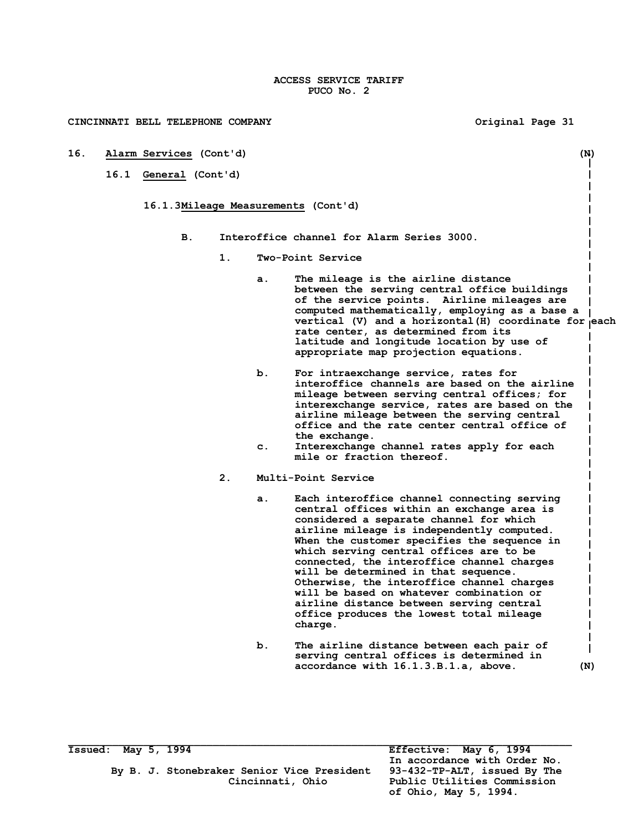**16. Alarm Services (Cont'd) (N)**

**16.1 General (Cont'd)**

- **16.1.3Mileage Measurements (Cont'd)**
	- **B. Interoffice channel for Alarm Series 3000.**
		- **1. Two-Point Service**
			- **a. The mileage is the airline distance between the serving central office buildings of the service points. Airline mileages are computed mathematically, employing as a base a**  vertical (V) and a horizontal (H) coordinate for each **rate center, as determined from its latitude and longitude location by use of appropriate map projection equations.**
			- **b. For intraexchange service, rates for interoffice channels are based on the airline mileage between serving central offices; for interexchange service, rates are based on the airline mileage between the serving central office and the rate center central office of the exchange.**
			- **c. Interexchange channel rates apply for each mile or fraction thereof.**
		- **2. Multi-Point Service**
			- **a. Each interoffice channel connecting serving central offices within an exchange area is considered a separate channel for which airline mileage is independently computed. When the customer specifies the sequence in which serving central offices are to be connected, the interoffice channel charges will be determined in that sequence. Otherwise, the interoffice channel charges will be based on whatever combination or airline distance between serving central office produces the lowest total mileage charge.**
			- **b. The airline distance between each pair of serving central offices is determined in accordance with 16.1.3.B.1.a, above. (N)**

 $\mathbf{I}$ 

 $\mathbf{I}$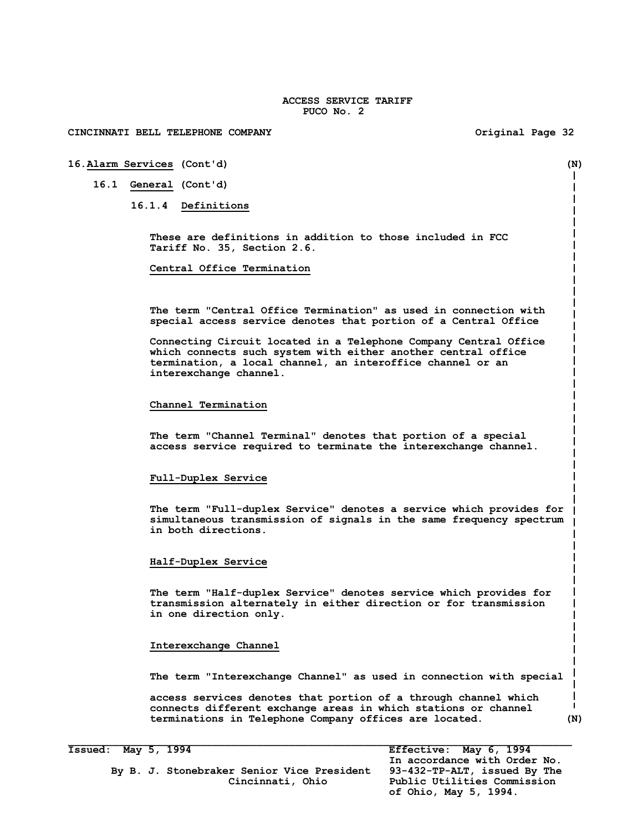### **CINCINNATI BELL TELEPHONE COMPANY Original Page 32**

### **16.Alarm Services (Cont'd) (N)**

**16.1 General (Cont'd)**

**16.1.4 Definitions**

**These are definitions in addition to those included in FCC Tariff No. 35, Section 2.6.**

**Central Office Termination**

**The term "Central Office Termination" as used in connection with special access service denotes that portion of a Central Office** 

**Connecting Circuit located in a Telephone Company Central Office which connects such system with either another central office termination, a local channel, an interoffice channel or an interexchange channel.**

### **Channel Termination**

**The term "Channel Terminal" denotes that portion of a special access service required to terminate the interexchange channel.**

### **Full-Duplex Service**

**The term "Full-duplex Service" denotes a service which provides for simultaneous transmission of signals in the same frequency spectrum in both directions.**

### **Half-Duplex Service**

**The term "Half-duplex Service" denotes service which provides for transmission alternately in either direction or for transmission in one direction only.**

### **Interexchange Channel**

**The term "Interexchange Channel" as used in connection with special**

**access services denotes that portion of a through channel which connects different exchange areas in which stations or channel terminations in Telephone Company offices are located. (N)**

**Issued: May 5, 1994 Effective: May 6, 1994**

By B. J. Stonebraker Senior Vice President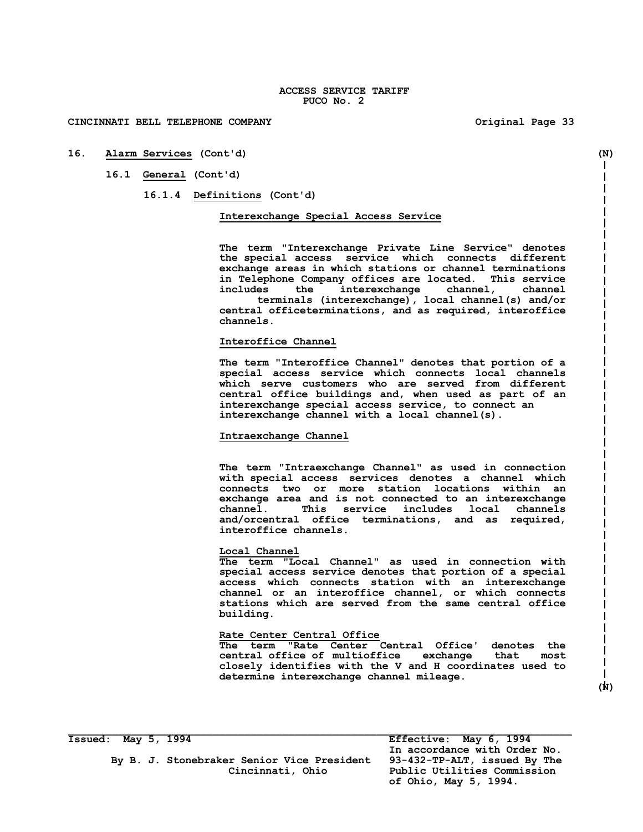**16. Alarm Services (Cont'd) (N)**

**16.1 General (Cont'd)**

**16.1.4 Definitions (Cont'd)**

### **Interexchange Special Access Service**

**The term "Interexchange Private Line Service" denotes the special access service which connects different exchange areas in which stations or channel terminations in Telephone Company offices are located. This service includes the interexchange channel, channel terminals (interexchange), local channel(s) and/or** 

**central officeterminations, and as required, interoffice channels.**

### **Interoffice Channel**

**The term "Interoffice Channel" denotes that portion of a special access service which connects local channels which serve customers who are served from different central office buildings and, when used as part of an interexchange special access service, to connect an interexchange channel with a local channel(s).**

### **Intraexchange Channel**

**The term "Intraexchange Channel" as used in connection with special access services denotes a channel which connects two or more station locations within an exchange area and is not connected to an interexchange channel. This service includes local channels and/orcentral office terminations, and as required, interoffice channels.**

### **Local Channel**

**The term "Local Channel" as used in connection with special access service denotes that portion of a special access which connects station with an interexchange channel or an interoffice channel, or which connects stations which are served from the same central office building.**

### **Rate Center Central Office**

**The term "Rate Center Central Office' denotes the central office of multioffice exchange that most closely identifies with the V and H coordinates used to determine interexchange channel mileage.** 

**Issued: May 5, 1994 Effective: May 6, 1994**

 **(N)**

I.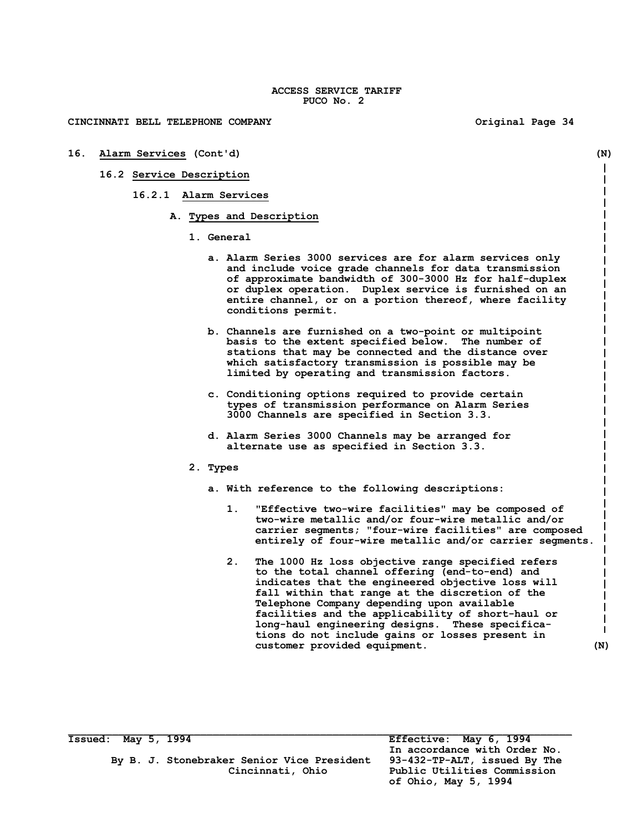**CINCINNATI BELL TELEPHONE COMPANY Original Page 34**

**16. Alarm Services (Cont'd) (N) 16.2 Service Description 16.2.1 Alarm Services A. Types and Description 1. General a. Alarm Series 3000 services are for alarm services only and include voice grade channels for data transmission of approximate bandwidth of 300-3000 Hz for half-duplex or duplex operation. Duplex service is furnished on an entire channel, or on a portion thereof, where facility conditions permit. b. Channels are furnished on a two-point or multipoint basis to the extent specified below. The number of stations that may be connected and the distance over which satisfactory transmission is possible may be limited by operating and transmission factors. c. Conditioning options required to provide certain types of transmission performance on Alarm Series 3000 Channels are specified in Section 3.3. d. Alarm Series 3000 Channels may be arranged for alternate use as specified in Section 3.3. 2. Types a. With reference to the following descriptions: 1. "Effective two-wire facilities" may be composed of two-wire metallic and/or four-wire metallic and/or carrier segments; "four-wire facilities" are composed entirely of four-wire metallic and/or carrier segments. 2. The 1000 Hz loss objective range specified refers to the total channel offering (end-to-end) and indicates that the engineered objective loss will fall within that range at the discretion of the Telephone Company depending upon available facilities and the applicability of short-haul or long-haul engineering designs. These specifica-**I. **tions do not include gains or losses present in customer provided equipment. (N)**

**Issued: May 5, 1994 Effective: May 6, 1994**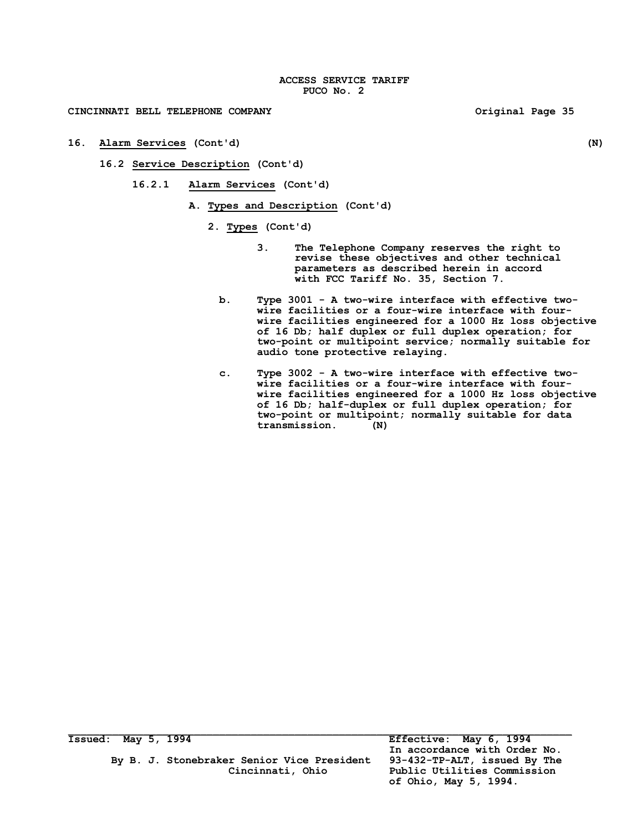**16. Alarm Services (Cont'd) (N)**

**16.2 Service Description (Cont'd)**

**16.2.1 Alarm Services (Cont'd)**

**A. Types and Description (Cont'd)**

- **2. Types (Cont'd)**
	- **3. The Telephone Company reserves the right to revise these objectives and other technical parameters as described herein in accord with FCC Tariff No. 35, Section 7.**
	- **b. Type 3001 - A two-wire interface with effective twowire facilities or a four-wire interface with fourwire facilities engineered for a 1000 Hz loss objective of 16 Db; half duplex or full duplex operation; for two-point or multipoint service; normally suitable for audio tone protective relaying.**
	- **c. Type 3002 - A two-wire interface with effective twowire facilities or a four-wire interface with fourwire facilities engineered for a 1000 Hz loss objective of 16 Db; half-duplex or full duplex operation; for two-point or multipoint; normally suitable for data transmission. (N)**

 **In accordance with Order No. Cincinnati, Ohio Public Utilities Commission of Ohio, May 5, 1994.**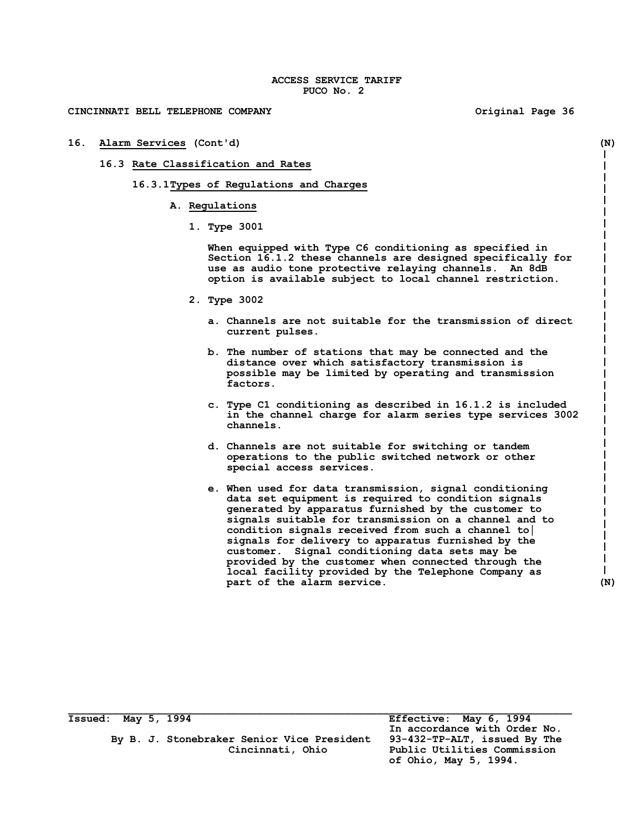| 16. Alarm Services (Cont'd)        |                                                                                                                                                                                                                                                                                                                                                                                                                                                                                                                                         | (N) |  |  |
|------------------------------------|-----------------------------------------------------------------------------------------------------------------------------------------------------------------------------------------------------------------------------------------------------------------------------------------------------------------------------------------------------------------------------------------------------------------------------------------------------------------------------------------------------------------------------------------|-----|--|--|
| 16.3 Rate Classification and Rates |                                                                                                                                                                                                                                                                                                                                                                                                                                                                                                                                         |     |  |  |
|                                    | 16.3.1Types of Regulations and Charges                                                                                                                                                                                                                                                                                                                                                                                                                                                                                                  |     |  |  |
|                                    | A. Regulations                                                                                                                                                                                                                                                                                                                                                                                                                                                                                                                          |     |  |  |
|                                    | 1. Type 3001                                                                                                                                                                                                                                                                                                                                                                                                                                                                                                                            |     |  |  |
|                                    | When equipped with Type C6 conditioning as specified in<br>Section 16.1.2 these channels are designed specifically for<br>use as audio tone protective relaying channels. An 8dB<br>option is available subject to local channel restriction.                                                                                                                                                                                                                                                                                           |     |  |  |
|                                    | 2. Type 3002                                                                                                                                                                                                                                                                                                                                                                                                                                                                                                                            |     |  |  |
|                                    | a. Channels are not suitable for the transmission of direct<br>current pulses.                                                                                                                                                                                                                                                                                                                                                                                                                                                          |     |  |  |
|                                    | b. The number of stations that may be connected and the<br>distance over which satisfactory transmission is<br>possible may be limited by operating and transmission<br>factors.                                                                                                                                                                                                                                                                                                                                                        |     |  |  |
|                                    | c. Type C1 conditioning as described in 16.1.2 is included<br>in the channel charge for alarm series type services 3002<br>channels.                                                                                                                                                                                                                                                                                                                                                                                                    |     |  |  |
|                                    | d. Channels are not suitable for switching or tandem<br>operations to the public switched network or other<br>special access services.                                                                                                                                                                                                                                                                                                                                                                                                  |     |  |  |
|                                    | e. When used for data transmission, signal conditioning<br>data set equipment is required to condition signals<br>generated by apparatus furnished by the customer to<br>signals suitable for transmission on a channel and to<br>condition signals received from such a channel to<br>signals for delivery to apparatus furnished by the<br>customer. Signal conditioning data sets may be<br>provided by the customer when connected through the<br>local facility provided by the Telephone Company as<br>part of the alarm service. | (N) |  |  |

| Issued: May 5, 1994 |  |                                            | Effective: May 6, 1994       |
|---------------------|--|--------------------------------------------|------------------------------|
|                     |  |                                            | In accordance with Order No. |
|                     |  | By B. J. Stonebraker Senior Vice President | 93-432-TP-ALT, issued By The |
|                     |  | Cincinnati, Ohio                           | Public Utilities Commission  |

 **of Ohio, May 5, 1994.**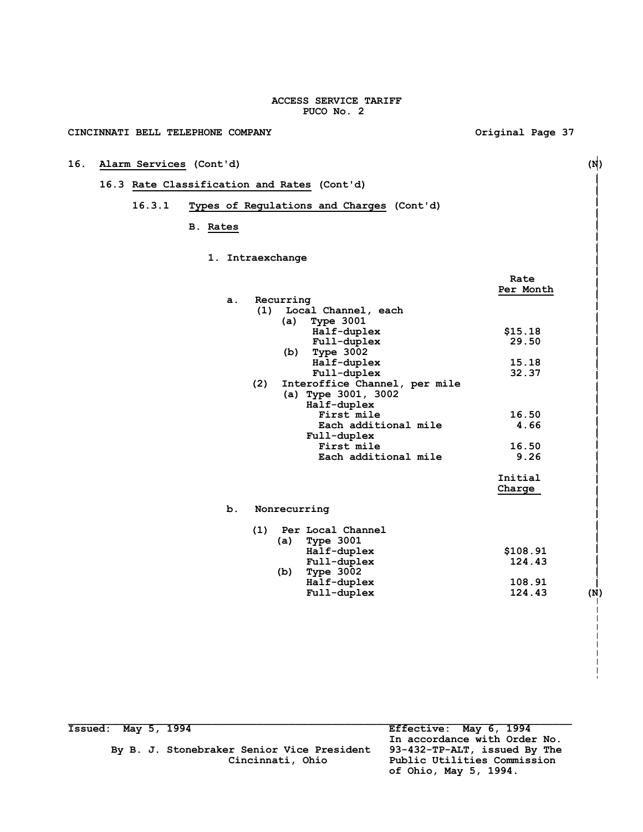## **CINCINNATI BELL TELEPHONE COMPANY Original Page 37**

## **16. Alarm Services (Cont'd) (N)**

## **16.3 Rate Classification and Rates (Cont'd)**

## **16.3.1 Types of Regulations and Charges (Cont'd)**

## **B. Rates**

## **1. Intraexchange**

|                |                                      | Rate          |
|----------------|--------------------------------------|---------------|
|                |                                      | Per Month     |
| a <sub>x</sub> | Recurring                            |               |
|                | (1)<br>Local Channel, each           |               |
|                | <b>Type 3001</b><br>(a)              |               |
|                | Half-duplex                          | \$15.18       |
|                | Full-duplex                          | 29.50         |
|                | Type 3002<br>(b)                     |               |
|                | Half-duplex                          | 15.18         |
|                | Full-duplex                          | 32.37         |
|                | (2)<br>Interoffice Channel, per mile |               |
|                | (a) Type 3001, 3002                  |               |
|                | Half-duplex                          |               |
|                | First mile                           | 16.50         |
|                | Each additional mile                 | 4.66          |
|                | Full-duplex                          |               |
|                | First mile                           | 16.50         |
|                | Each additional mile                 | 9.26          |
|                |                                      | Initial       |
|                |                                      | Charge        |
| b.             | Nonrecurring                         |               |
|                | Per Local Channel<br>(1)             |               |
|                | Type $3001$<br>(a)                   |               |
|                | Half-duplex                          | \$108.91      |
|                | Full-duplex                          | 124.43        |
|                | Type 3002<br>(b)                     |               |
|                | Half-duplex                          | 108.91        |
|                | Full-duplex                          | 124.43<br>(N) |
|                |                                      |               |

| Issued: May 5, 1994 |  |                                            | Effective: May 6, 1994       |
|---------------------|--|--------------------------------------------|------------------------------|
|                     |  |                                            | In accordance with Order No. |
|                     |  | By B. J. Stonebraker Senior Vice President | 93-432-TP-ALT, issued By The |
|                     |  | Cincinnati, Ohio                           | Public Utilities Commission  |
|                     |  |                                            | of Ohio, May 5, 1994.        |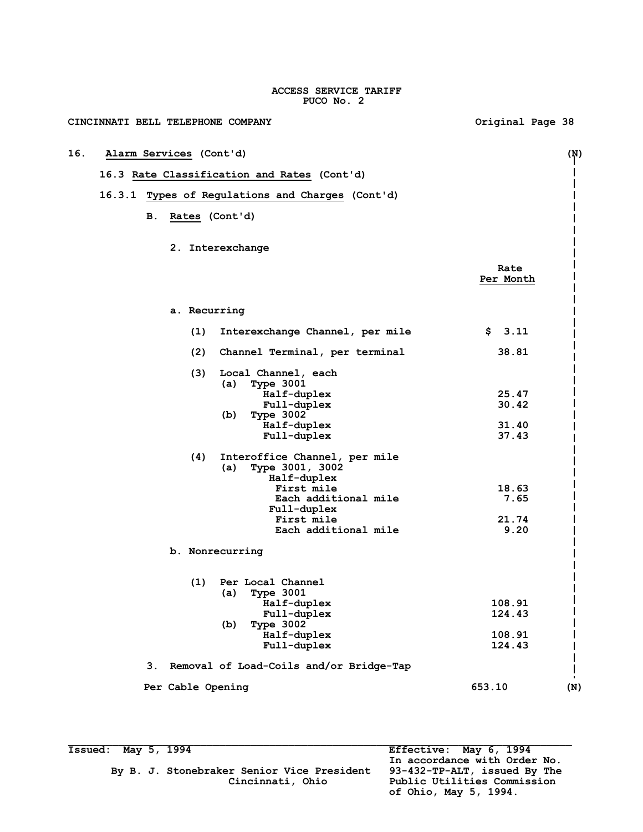| CINCINNATI BELL TELEPHONE COMPANY                              | Original Page 38  |
|----------------------------------------------------------------|-------------------|
| 16.<br>Alarm Services (Cont'd)                                 | (N)               |
| 16.3 Rate Classification and Rates (Cont'd)                    |                   |
| 16.3.1 Types of Regulations and Charges (Cont'd)               |                   |
|                                                                |                   |
| Rates (Cont'd)<br>в.                                           |                   |
| 2. Interexchange                                               |                   |
|                                                                | Rate<br>Per Month |
| a. Recurring                                                   |                   |
| (1)<br>Interexchange Channel, per mile                         | \$3.11            |
| (2)<br>Channel Terminal, per terminal                          | 38.81             |
| (3)<br>Local Channel, each<br>(a)<br><b>Type 3001</b>          |                   |
| Half-duplex                                                    | 25.47             |
| Full-duplex                                                    | 30.42             |
| Type 3002<br>(b)                                               |                   |
| Half-duplex<br>Full-duplex                                     | 31.40<br>37.43    |
| Interoffice Channel, per mile<br>(4)<br>Type 3001, 3002<br>(a) |                   |
| Half-duplex<br>First mile                                      | 18.63             |
| Each additional mile                                           | 7.65              |
| Full-duplex                                                    |                   |
| First mile                                                     | 21.74             |
| Each additional mile                                           | 9.20              |
| b. Nonrecurring                                                |                   |
| (1)<br>Per Local Channel                                       |                   |
| Type 3001<br>(a)                                               |                   |
| Half-duplex<br>Full-duplex                                     | 108.91<br>124.43  |
| Type 3002<br>(b)                                               |                   |
| Half-duplex                                                    | 108.91            |
| Full-duplex                                                    | 124.43            |
| Removal of Load-Coils and/or Bridge-Tap<br>З.                  |                   |
| Per Cable Opening                                              | 653.10<br>(N)     |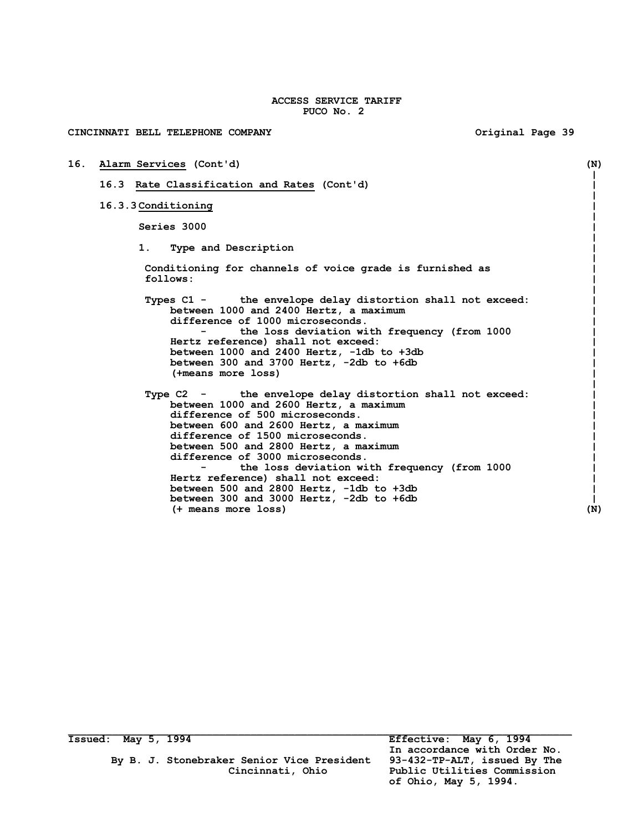| CINCINNATI BELL TELEPHONE COMPANY                                                                                                                                                                                                                                                                                                                                                                                                                                              | Original Page 39 |     |
|--------------------------------------------------------------------------------------------------------------------------------------------------------------------------------------------------------------------------------------------------------------------------------------------------------------------------------------------------------------------------------------------------------------------------------------------------------------------------------|------------------|-----|
| 16. Alarm Services (Cont'd)                                                                                                                                                                                                                                                                                                                                                                                                                                                    |                  | (N) |
| 16.3 Rate Classification and Rates (Cont'd)                                                                                                                                                                                                                                                                                                                                                                                                                                    |                  |     |
| 16.3.3 Conditioning                                                                                                                                                                                                                                                                                                                                                                                                                                                            |                  |     |
| Series 3000                                                                                                                                                                                                                                                                                                                                                                                                                                                                    |                  |     |
| 1.<br>Type and Description                                                                                                                                                                                                                                                                                                                                                                                                                                                     |                  |     |
| Conditioning for channels of voice grade is furnished as<br>follows:                                                                                                                                                                                                                                                                                                                                                                                                           |                  |     |
| Types C1 - the envelope delay distortion shall not exceed:<br>between 1000 and 2400 Hertz, a maximum<br>difference of 1000 microseconds.<br>the loss deviation with frequency (from 1000<br>Hertz reference) shall not exceed:<br>between 1000 and 2400 Hertz, -1db to +3db<br>between 300 and 3700 Hertz, -2db to +6db<br>(+means more loss)                                                                                                                                  |                  |     |
| Type C2 - the envelope delay distortion shall not exceed:<br>between 1000 and 2600 Hertz, a maximum<br>difference of 500 microseconds.<br>between 600 and 2600 Hertz, a maximum<br>difference of 1500 microseconds.<br>between 500 and 2800 Hertz, a maximum<br>difference of 3000 microseconds.<br>the loss deviation with frequency (from 1000<br>Hertz reference) shall not exceed:<br>between 500 and 2800 Hertz, -1db to +3db<br>between 300 and 3000 Hertz, -2db to +6db |                  |     |
| (+ means more loss)                                                                                                                                                                                                                                                                                                                                                                                                                                                            |                  | (N) |

**Issued: May 5, 1994 Effective: May 6, 1994**

*In accordance with Order No.*  **of Ohio, May 5, 1994.**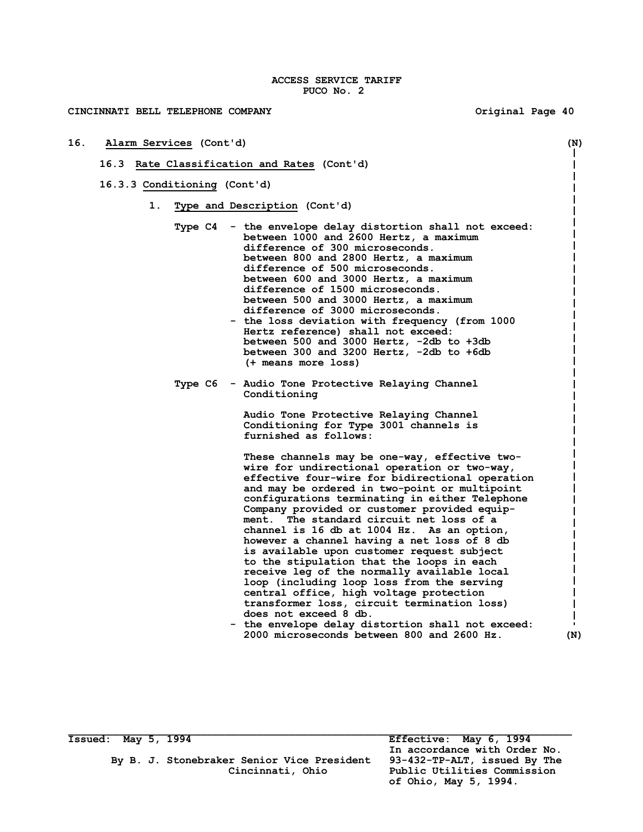### **CINCINNATI BELL TELEPHONE COMPANY Original Page 40**

- **16. Alarm Services (Cont'd) (N)**
	- **16.3 Rate Classification and Rates (Cont'd)**
	- **16.3.3 Conditioning (Cont'd)**
		- **1. Type and Description (Cont'd)**
			- **Type C4 - the envelope delay distortion shall not exceed: between 1000 and 2600 Hertz, a maximum difference of 300 microseconds. between 800 and 2800 Hertz, a maximum difference of 500 microseconds. between 600 and 3000 Hertz, a maximum difference of 1500 microseconds. between 500 and 3000 Hertz, a maximum difference of 3000 microseconds.**
				- **- the loss deviation with frequency (from 1000 Hertz reference) shall not exceed: between 500 and 3000 Hertz, -2db to +3db between 300 and 3200 Hertz, -2db to +6db (+ means more loss)**
			- **Type C6 - Audio Tone Protective Relaying Channel Conditioning**

**Audio Tone Protective Relaying Channel Conditioning for Type 3001 channels is furnished as follows:**

**These channels may be one-way, effective twowire for undirectional operation or two-way, effective four-wire for bidirectional operation and may be ordered in two-point or multipoint configurations terminating in either Telephone Company provided or customer provided equipment. The standard circuit net loss of a channel is 16 db at 1004 Hz. As an option, however a channel having a net loss of 8 db is available upon customer request subject to the stipulation that the loops in each receive leg of the normally available local loop (including loop loss from the serving central office, high voltage protection transformer loss, circuit termination loss) does not exceed 8 db.**

 **- the envelope delay distortion shall not exceed: 2000 microseconds between 800 and 2600 Hz. (N)**

**Issued: May 5, 1994 Effective: May 6, 1994**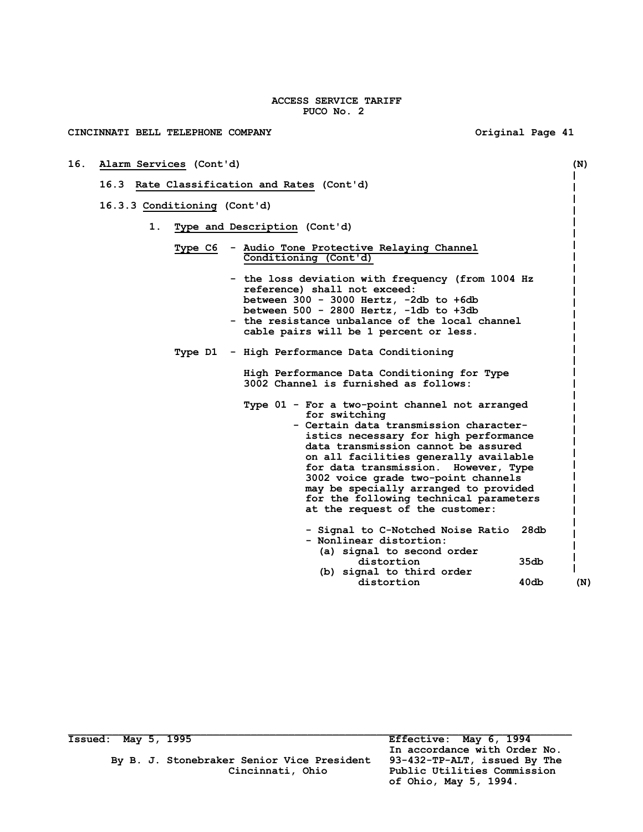**CINCINNATI BELL TELEPHONE COMPANY Original Page 41 16. Alarm Services (Cont'd) (N) 16.3 Rate Classification and Rates (Cont'd) 16.3.3 Conditioning (Cont'd) 1. Type and Description (Cont'd) Type C6 - Audio Tone Protective Relaying Channel Conditioning (Cont'd) - the loss deviation with frequency (from 1004 Hz reference) shall not exceed: between 300 - 3000 Hertz, -2db to +6db between 500 - 2800 Hertz, -1db to +3db - the resistance unbalance of the local channel cable pairs will be 1 percent or less. Type D1 - High Performance Data Conditioning High Performance Data Conditioning for Type 3002 Channel is furnished as follows: Type 01 - For a two-point channel not arranged for switching - Certain data transmission character istics necessary for high performance data transmission cannot be assured on all facilities generally available for data transmission. However, Type 3002 voice grade two-point channels may be specially arranged to provided for the following technical parameters at the request of the customer: - Signal to C-Notched Noise Ratio 28db - Nonlinear distortion: (a) signal to second order distortion 35db (b) signal to third order** distortion 40db (N)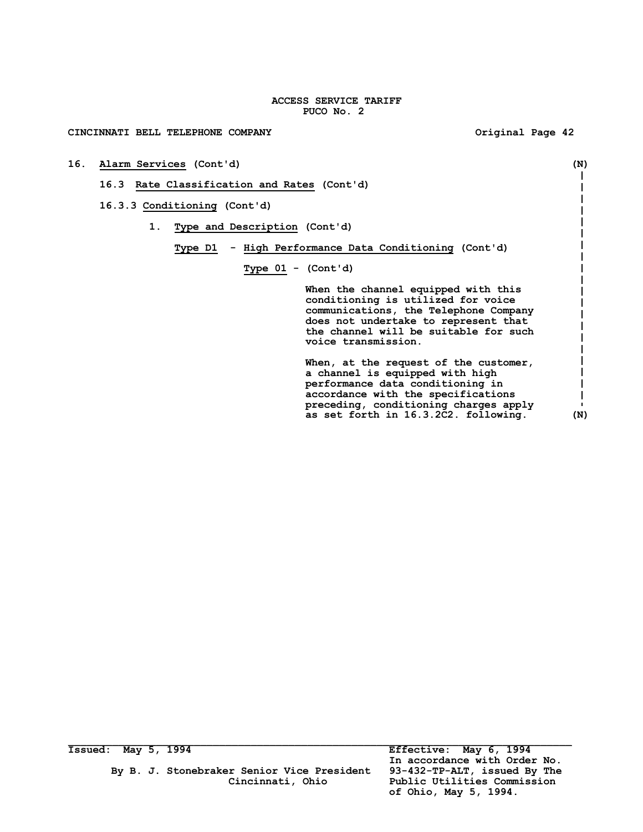**16. Alarm Services (Cont'd) (N)**

## CINCINNATI BELL TELEPHONE COMPANY **COMPANY** COMPANY **Original Page 42**

|    | 16.3.3 Conditioning (Cont'd)  |                      |                                                                                                                                                                                                                            |
|----|-------------------------------|----------------------|----------------------------------------------------------------------------------------------------------------------------------------------------------------------------------------------------------------------------|
| 1. | Type and Description (Cont'd) |                      |                                                                                                                                                                                                                            |
|    | Type D1                       |                      | - High Performance Data Conditioning (Cont'd)                                                                                                                                                                              |
|    |                               | Type $01 - (Cont'd)$ |                                                                                                                                                                                                                            |
|    |                               |                      | When the channel equipped with this<br>conditioning is utilized for voice<br>communications, the Telephone Company<br>does not undertake to represent that<br>the channel will be suitable for such<br>voice transmission. |
|    |                               |                      | When, at the request of the customer,<br>a channel is equipped with high<br>performance data conditioning in<br>accordance with the specifications<br>preceding, conditioning charges apply                                |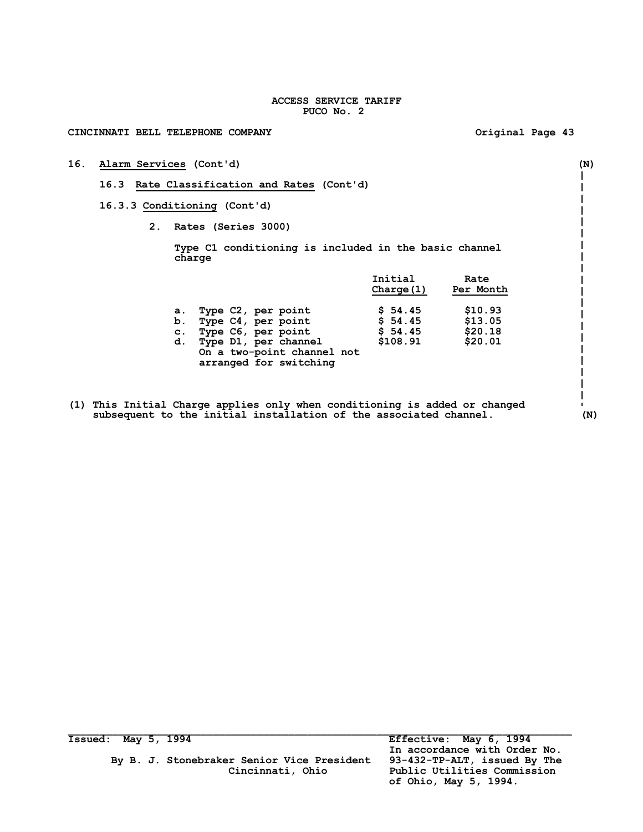| CINCINNATI BELL TELEPHONE COMPANY                                                                                                                          |                                                       | Original Page 43                         |     |  |  |  |  |
|------------------------------------------------------------------------------------------------------------------------------------------------------------|-------------------------------------------------------|------------------------------------------|-----|--|--|--|--|
| 16.<br>Alarm Services (Cont'd)                                                                                                                             |                                                       |                                          | (N) |  |  |  |  |
| 16.3 Rate Classification and Rates (Cont'd)                                                                                                                |                                                       |                                          |     |  |  |  |  |
| 16.3.3 Conditioning (Cont'd)                                                                                                                               |                                                       |                                          |     |  |  |  |  |
| 2. Rates (Series 3000)                                                                                                                                     |                                                       |                                          |     |  |  |  |  |
| charge                                                                                                                                                     | Type C1 conditioning is included in the basic channel |                                          |     |  |  |  |  |
|                                                                                                                                                            | Initial<br>Charge (1)                                 | Rate<br>Per Month                        |     |  |  |  |  |
| a. Type C2, per point<br>b. Type C4, per point<br>c. Type C6, per point<br>d. Type D1, per channel<br>On a two-point channel not<br>arranged for switching | \$54.45<br>\$54.45<br>\$54.45<br>\$108.91             | \$10.93<br>\$13.05<br>\$20.18<br>\$20.01 |     |  |  |  |  |
| (1) This Initial Charge applies only when conditioning is added or changed<br>subsequent to the initial installation of the associated channel.            |                                                       |                                          | (N) |  |  |  |  |